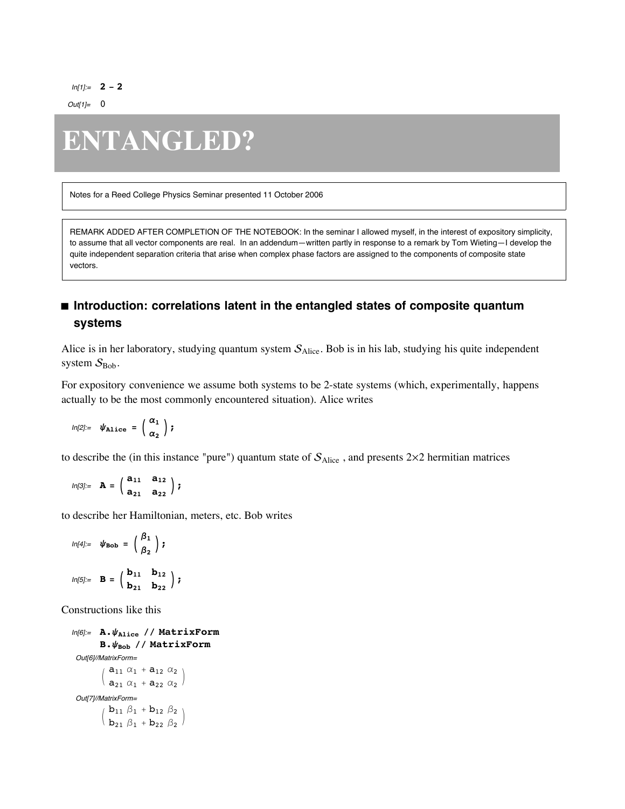$In[1]=$  **2** - **2** 

 $Out[1]=$  0

# **ENTANGLED?**

Notes for a Reed College Physics Seminar presented 11 October 2006

REMARK ADDED AFTER COMPLETION OF THE NOTEBOOK: In the seminar I allowed myself, in the interest of expository simplicity, to assume that all vector components are real. In an addendum—written partly in response to a remark by Tom Wieting—I develop the quite independent separation criteria that arise when complex phase factors are assigned to the components of composite state vectors.

# ■ Introduction: correlations latent in the entangled states of composite quantum **systems**

Alice is in her laboratory, studying quantum system  $S_{Alice}$ . Bob is in his lab, studying his quite independent system  $S_{Bob}$ .

For expository convenience we assume both systems to be 2-state systems (which, experimentally, happens actually to be the most commonly encountered situation). Alice writes

$$
ln[2] := \psi_{\texttt{Alice}} = \left(\begin{array}{c} \alpha_1 \\ \alpha_2 \end{array}\right);
$$

to describe the (in this instance "pure") quantum state of  $S_{Alice}$ , and presents  $2\times2$  hermitian matrices

$$
ln[3] := \mathbf{A} = \begin{pmatrix} a_{11} & a_{12} \\ a_{21} & a_{22} \end{pmatrix};
$$

to describe her Hamiltonian, meters, etc. Bob writes

$$
ln[4]:=\psi_{\text{Bob}}=\begin{pmatrix}\beta_1\\ \beta_2\end{pmatrix};
$$
  

$$
ln[5]:=\mathbf{B}=\begin{pmatrix}\mathbf{b}_{11} & \mathbf{b}_{12}\\ \mathbf{b}_{21} & \mathbf{b}_{22}\end{pmatrix};
$$

Constructions like this

```
In[6]:= A.yAlice êê MatrixForm
         B.\psi_{Bob} // MatrixForm
 Out[6]//MatrixForm=
            a_{11} \alpha_1 + a_{12} \alpha_2a_{21} a_1 + a_{22} a_2Out[7]//MatrixForm=
          /b_{11} \beta_1 + b_{12} \beta_2\big| b_{21} \beta_1 + b_{22} \beta_2 \big|\Big)
```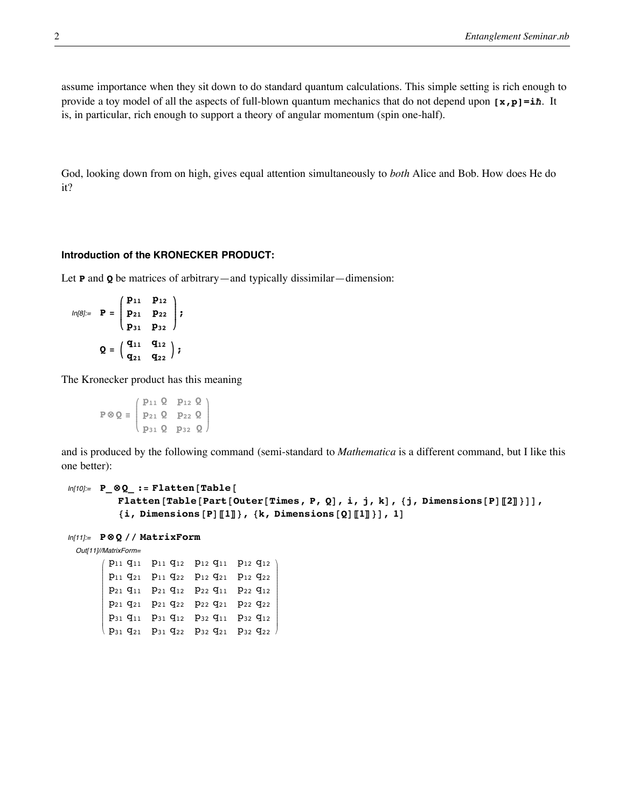assume importance when they sit down to do standard quantum calculations. This simple setting is rich enough to provide a toy model of all the aspects of full-blown quantum mechanics that do not depend upon **[x,p]=i—**. It is, in particular, rich enough to support a theory of angular momentum (spin one-half).

God, looking down from on high, gives equal attention simultaneously to *both* Alice and Bob. How does He do it?

# **Introduction of the KRONECKER PRODUCT:**

Let **P** and **Q** be matrices of arbitrary—and typically dissimilar—dimension:

$$
ln[8] = P = \begin{pmatrix} p_{11} & p_{12} \\ p_{21} & p_{22} \\ p_{31} & p_{32} \end{pmatrix};
$$

$$
Q = \begin{pmatrix} q_{11} & q_{12} \\ q_{21} & q_{22} \end{pmatrix};
$$

The Kronecker product has this meaning

**P**  $\otimes$  **Q**  $\equiv$   $\begin{pmatrix} P_{11} & z & P_{12} & z \\ p_{21} & Q & p_{22} & Q \\ p_{31} & Q & p_{32} & Q \end{pmatrix}$  $\begin{pmatrix} p_{21} & q_{22} & q_{23} \\ p_{31} & q_{32} & q_{33} \end{pmatrix}$ **p11 Q p12 Q**  $\mathbf{r}$ 

and is produced by the following command (semi-standard to *Mathematica* is a different command, but I like this one better):

```
In[10]:= P ⊗Q := Flatten [Table [
           Flatten [Table [Part [Outer [Times, P, Q], i, j, k], {j, Dimensions [P] [[2]]}],
           \{i, \text{Dimensions} [P] [\![1]\!], \{k, \text{Dimensions} [Q] [\![1]\!], \}, 1]
```

```
In[11]:= P ⊗ Q êê MatrixForm
```
Out[11]//MatrixForm=

i k jjjjjjjjjjjjjjjjjjjjjj p11 q11 p11 q12 p12 q11 p12 q12 p11 q21 p11 q22 p12 q21 p12 q22 p21 q11 p21 q12 p22 q11 p22 q12 p21 q21 p21 q22 p22 q21 p22 q22 p31 q11 p31 q12 p32 q11 p32 q12  $p_{31}$   $q_{21}$   $p_{31}$   $q_{22}$   $p_{32}$   $q_{21}$   $p_{32}$   $q_{22}$  $\overline{1}$  $\overline{a}$ zzzzzzzzzzzzzzzzzzzzzz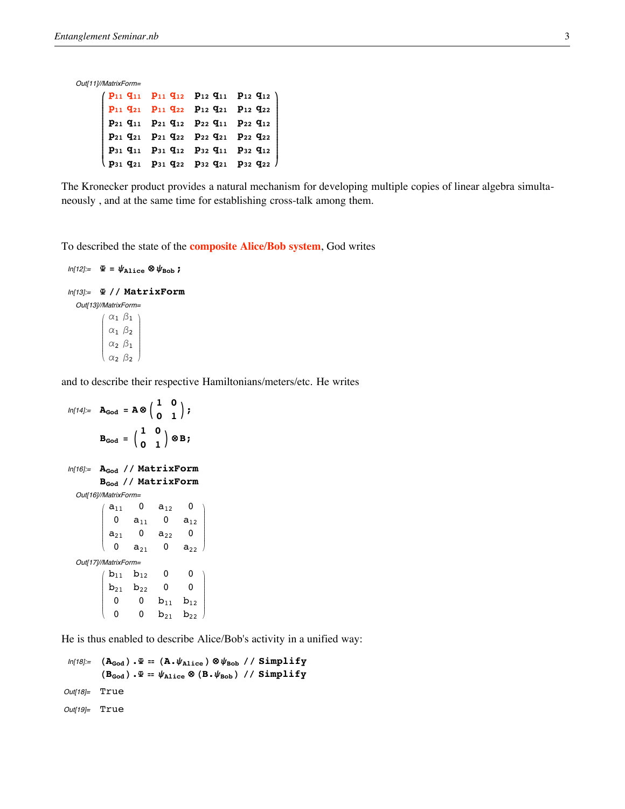Out[11]//MatrixForm=  $\epsilon$ 

|  | $(P_{11} Q_{11} P_{11} Q_{12} P_{12} Q_{11} P_{12} Q_{12})$<br>$\begin{bmatrix} P_{31} & q_{11} & P_{31} & q_{12} & P_{32} & q_{11} & P_{32} & q_{12} \end{bmatrix}$<br>$\langle \; \mathbf{p}_{31} \; \mathbf{q}_{21} \; \; \mathbf{p}_{31} \; \mathbf{q}_{22} \; \; \mathbf{p}_{32} \; \mathbf{q}_{21} \; \; \mathbf{p}_{32} \; \mathbf{q}_{22} \; \rangle$ |
|--|---------------------------------------------------------------------------------------------------------------------------------------------------------------------------------------------------------------------------------------------------------------------------------------------------------------------------------------------------------------|

The Kronecker product provides a natural mechanism for developing multiple copies of linear algebra simultaneously , and at the same time for establishing cross-talk among them.

To described the state of the **composite Alice/Bob system**, God writes

```
ln[12] := \Phi = \psi_{\text{Alice}} \otimes \psi_{\text{Bob}};
In[13]:= Y êê MatrixForm
    Out[13]//MatrixForm=
                 i
                 k
                 j<br>J<br/>j\eta\alpha_1 \beta_1\alpha_1 \beta_2\alpha_2 \beta_1\alpha_2 \beta_2\overline{1}\overline{a}\overline{a}
```
and to describe their respective Hamiltonians/meters/etc. He writes

```
ln[14] := \mathbf{A}_{\text{God}} = \mathbf{A} \otimes \begin{pmatrix} 1 & 0 \\ 0 & 1 \end{pmatrix}\mathbf{B}_{\text{God}} = \begin{pmatrix} 1 & 0 \\ 0 & 1 \end{pmatrix} \otimes \mathbf{B};
In[16]:= AGod êê MatrixForm
             BGod êê MatrixForm
   Out[16]//MatrixForm=
              i
              k
              j<br>J<br/>j\etaa_{11} 0 a_{12} 0
                   0 a_{11} 0 a_{12}a_{21} 0 a_{22} 0
                 0 a_{21} 0 a_{22}\overline{1}\overline{a}\overline{\phantom{a}}Out[17]//MatrixForm=
              i
              k
              j<br>J<br/>j\etab_{11} b_{12} 0 0
                 b_{21} b_{22} 0 0
                   0 0 b_{11} b_{12}\begin{matrix}0&0&b_{21}&b_{22}\end{matrix}\overline{1}\overline{a}\overline{\phantom{a}}
```
He is thus enabled to describe Alice/Bob's activity in a unified way:

```
ln[18] = (\mathbf{A}_{\text{God}}) \cdot \Psi = (\mathbf{A} \cdot \psi_{\text{Alice}}) \otimes \psi_{\text{Bob}} // Simplify
                 (\mathbf{B}_{\text{God}}) \cdot \mathbf{F} = \psi_{\text{Alice}} \otimes (\mathbf{B} \cdot \psi_{\text{Bob}}) // Simplify
Out[18]= True
Out[19]= True
```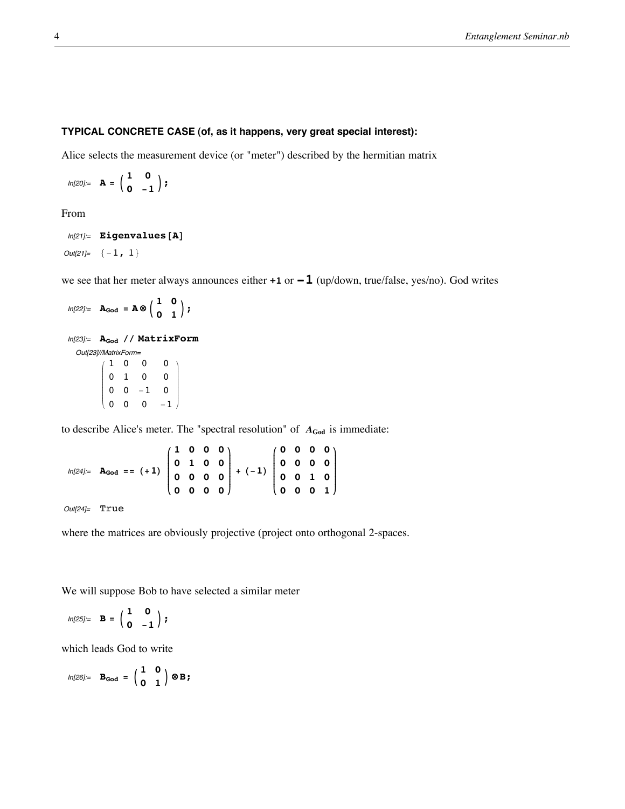# **TYPICAL CONCRETE CASE (of, as it happens, very great special interest):**

Alice selects the measurement device (or "meter") described by the hermitian matrix

 $ln[20] =$  **A** =  $\begin{pmatrix} 1 & 0 \\ 0 & -1 \end{pmatrix}$ ;

From

```
In [21]: = Eigenvalues [A]
```
 $Out[21]= \{-1, 1\}$ 

we see that her meter always announces either **+1** or **-1** (up/down, true/false, yes/no). God writes

```
ln[22] := \mathbf{A}_{\text{God}} = \mathbf{A} \otimes \begin{pmatrix} 1 & 0 \\ 0 & 1 \end{pmatrix};
In[23]:= AGod êê MatrixForm
   Out[23]//MatrixForm=
              i
              k
              j<br>J<br/>j\eta1 0 0 0
                  0 1 0 0
                  0 \t 0 \t -1 \t 00 \t 0 \t -1\mathbf{r}\overline{a}\overline{\phantom{a}}
```
to describe Alice's meter. The "spectral resolution" of  $A_{\text{God}}$  is immediate:

```
ln[24] := \mathbf{A}_{\text{God}} = ( + 1)i
                                 k
                                 \sqrt{\frac{1}{2}}1 0 0 0
                                    0 1 0 0
                                    0 0 0 0
                                    0 0 0 0
                                                      \mathbf{r}{
                                                      zzzzzzzzzzzz
                                                         + (-1)i
                                                                     k
                                                                     \sqrt{\frac{1}{2}}0 0 0 0
                                                                        0 0 0 0
                                                                        0 0 1 0
                                                                        0 0 0 1
                                                                                          \mathbf{I}{
                                                                                          zzzzzzzzzzzz
```
Out[24]= True

where the matrices are obviously projective (project onto orthogonal 2-spaces.

We will suppose Bob to have selected a similar meter

$$
ln[25]:=\mathbf{B}=\begin{pmatrix}1&0\\0&-1\end{pmatrix};
$$

which leads God to write

$$
\text{In}[26] := \quad \mathbf{B}_{\mathbf{God}} \ = \ \left(\begin{array}{cc} 1 & 0 \\ 0 & 1 \end{array}\right) \otimes \mathbf{B} \, \text{;}
$$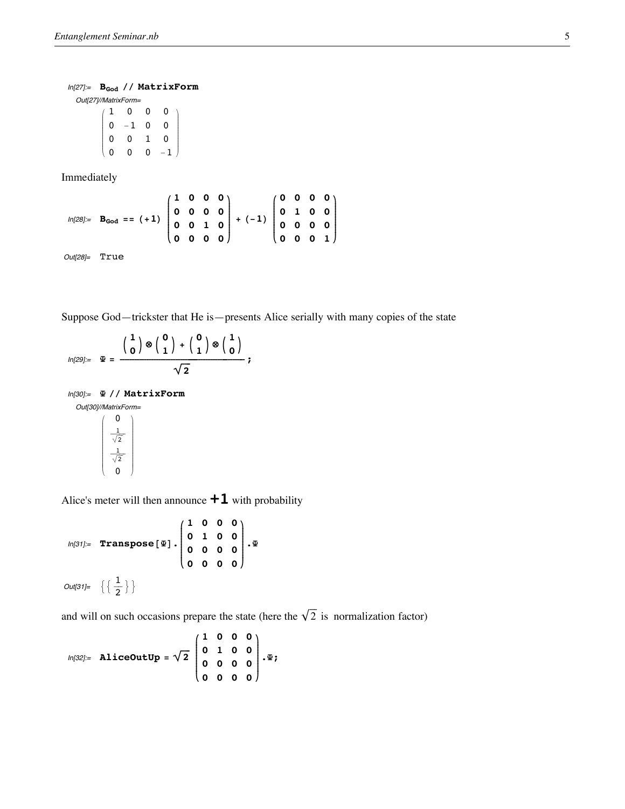### In[27]:=  $B_{\text{God}}$  // MatrixForm

Out[27]//MatrixForm=

i  $(0 \ 0 \ 0 \ -1)$ j<br>J<br/>j $\eta$ 1 0 0 0  $\begin{matrix} 0 & -1 & 0 & 0 \end{matrix}$ 0 0 1 0  $\mathbf{I}$  $\overline{\phantom{a}}$ 

Immediately

$$
ln[28] = B_{\text{God}} = (+1) \begin{pmatrix} 1 & 0 & 0 & 0 \\ 0 & 0 & 0 & 0 \\ 0 & 0 & 1 & 0 \\ 0 & 0 & 0 & 0 \end{pmatrix} + (-1) \begin{pmatrix} 0 & 0 & 0 & 0 \\ 0 & 1 & 0 & 0 \\ 0 & 0 & 0 & 0 \\ 0 & 0 & 0 & 1 \end{pmatrix}
$$

Out[28]= True

Suppose God—trickster that He is—presents Alice serially with many copies of the state

$$
\text{In}[29]:=\quad \Psi=\; \frac{\left(\begin{array}{c}1\\0\end{array}\right)\otimes\left(\begin{array}{c}0\\1\end{array}\right)\;+\; \left(\begin{array}{c}0\\1\end{array}\right)\otimes\left(\begin{array}{c}1\\0\end{array}\right)}{\sqrt{2}}\; ;
$$

In[30]:= **<sup>Y</sup> êê MatrixForm** Out[30]//MatrixForm=

$$
\left(\begin{array}{c}0\\\frac{1}{\sqrt{2}}\\\frac{1}{\sqrt{2}}\\0\end{array}\right)
$$

Alice's meter will then announce **+1** with probability

$$
ln[31] := \text{Transpose}[\mathbf{\Psi}] \cdot \begin{pmatrix} 1 & 0 & 0 & 0 \\ 0 & 1 & 0 & 0 \\ 0 & 0 & 0 & 0 \\ 0 & 0 & 0 & 0 \end{pmatrix} \cdot \mathbf{\Psi}
$$
  
Out[31]=  $\left\{ \left\{ \frac{1}{2} \right\} \right\}$ 

and will on such occasions prepare the state (here the  $\sqrt{2}$  is normalization factor)

$$
ln[32] = \text{AliceOutUp} = \sqrt{2} \begin{pmatrix} 1 & 0 & 0 & 0 \\ 0 & 1 & 0 & 0 \\ 0 & 0 & 0 & 0 \\ 0 & 0 & 0 & 0 \end{pmatrix} \cdot \Psi;
$$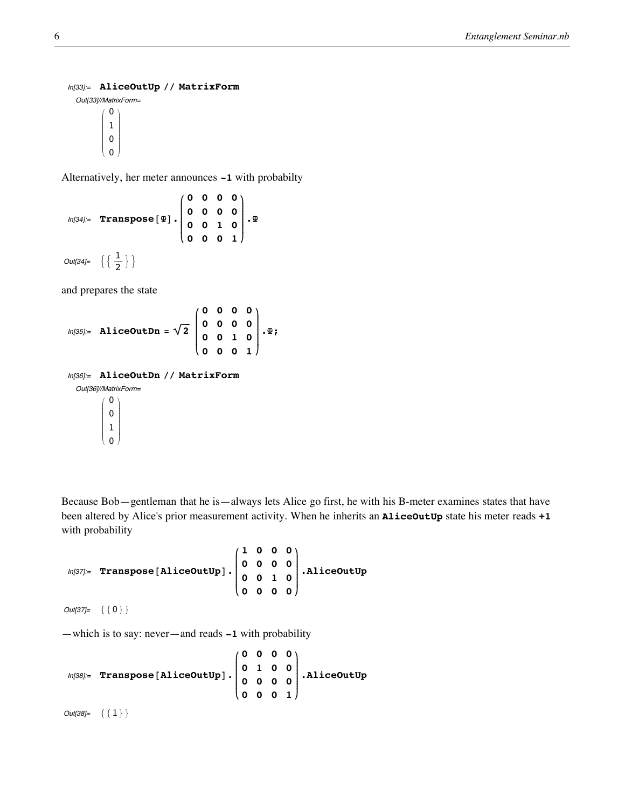#### In[33]:= **AliceOutUp êê MatrixForm**

Out[33]//MatrixForm= i k j<br>J<br/>j $\eta$ 0 1 0 0  $\mathbf{I}$  $\frac{1}{2}$  $\overline{a}$ 

Alternatively, her meter announces **-1** with probabilty

$$
ln[34] = \text{Transpose}[\mathbf{\Psi}] \cdot \begin{pmatrix} 0 & 0 & 0 & 0 \\ 0 & 0 & 0 & 0 \\ 0 & 0 & 1 & 0 \\ 0 & 0 & 0 & 1 \end{pmatrix} \cdot \mathbf{\Psi}
$$
  
Out[34]=  $\left\{ \left\{ \frac{1}{2} \right\} \right\}$ 

and prepares the state

$$
ln[35] = \text{AliceOut} \text{Dn} = \sqrt{2} \begin{pmatrix} 0 & 0 & 0 & 0 \\ 0 & 0 & 0 & 0 \\ 0 & 0 & 1 & 0 \\ 0 & 0 & 0 & 1 \end{pmatrix} \cdot \Psi;
$$

In[36]:= **AliceOutDn êê MatrixForm**

Out[36]//MatrixForm=

i k j<br>J<br/>j $\eta$ 0 0 1 0  $\mathbf{r}$  $\frac{1}{2}$  $\overline{a}$ 

Because Bob—gentleman that he is—always lets Alice go first, he with his B-meter examines states that have been altered by Alice's prior measurement activity. When he inherits an **AliceOutUp** state his meter reads **+1** with probability

$$
\text{In}[37] = \text{Transpose}[\text{AliceOutUp}]. \begin{pmatrix} 1 & 0 & 0 & 0 \\ 0 & 0 & 0 & 0 \\ 0 & 0 & 1 & 0 \\ 0 & 0 & 0 & 0 \end{pmatrix}.
$$
 AliceOutUp

 $Out[37]= {0}$ 

—which is to say: never—and reads **-1** with probability

$$
\text{In[38]:} \quad \text{Transpose [AliceOutUp]}\cdot \begin{pmatrix} 0 & 0 & 0 & 0 \\ 0 & 1 & 0 & 0 \\ 0 & 0 & 0 & 0 \\ 0 & 0 & 0 & 1 \end{pmatrix}.\text{AliceOutUp}
$$

 $Out[38]= \{1\}$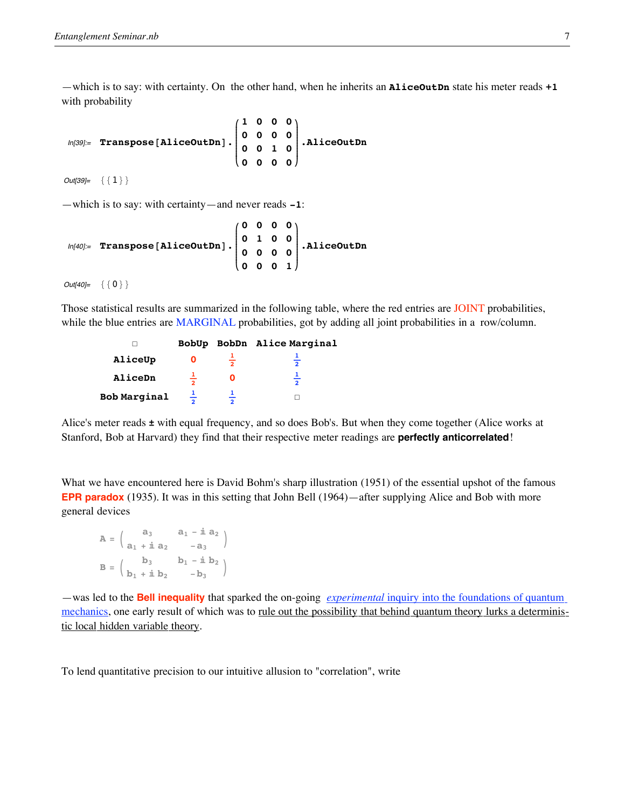—which is to say: with certainty. On the other hand, when he inherits an **AliceOutDn** state his meter reads **+1** with probability

In[39]:= **Transpose@AliceOutDnD. i k**  $\sqrt{\frac{1}{2}}$ **1 0 0 0 0 0 0 0 0 0 1 0 0 0 0 0**  $\mathbf{I}$ **{ zzzzzzzzzzzz .AliceOutDn**

 $Out[39]= { }{ 1 }$ 

—which is to say: with certainty—and never reads **-1**:

$$
\text{In[40]:} \quad \text{Transpose [AliceOutDn] \cdot} \begin{pmatrix} 0 & 0 & 0 & 0 \\ 0 & 1 & 0 & 0 \\ 0 & 0 & 0 & 0 \\ 0 & 0 & 0 & 1 \end{pmatrix} \cdot \text{AliceOutDn}
$$

 $Out[40]= {0}$ 

Those statistical results are summarized in the following table, where the red entries are JOINT probabilities, while the blue entries are MARGINAL probabilities, got by adding all joint probabilities in a row/column.

|                     |                          | BobUp BobDn Alice Marginal |
|---------------------|--------------------------|----------------------------|
| AliceUp             | $\overline{\phantom{a}}$ | $\overline{2}$             |
| AliceDn             |                          |                            |
| <b>Bob Marginal</b> |                          |                            |

Alice's meter reads **±** with equal frequency, and so does Bob's. But when they come together (Alice works at Stanford, Bob at Harvard) they find that their respective meter readings are **perfectly anticorrelated**!

What we have encountered here is David Bohm's sharp illustration (1951) of the essential upshot of the famous **EPR paradox** (1935). It was in this setting that John Bell (1964)—after supplying Alice and Bob with more general devices

|  | $A = \begin{pmatrix} a_3 & a_1 - \mathbf{i} \ a_2 & -a_3 \end{pmatrix}$                                                                                                                          |
|--|--------------------------------------------------------------------------------------------------------------------------------------------------------------------------------------------------|
|  |                                                                                                                                                                                                  |
|  | $\mathbf{B} = \left( \begin{array}{cc} \mathbf{b}_3 & \mathbf{b}_1 - \dot{\mathbbm{n}} \; \mathbf{b}_2 \\ \mathbf{b}_1 + \dot{\mathbbm{n}} \; \mathbf{b}_2 & - \mathbf{b}_3 \end{array} \right)$ |
|  |                                                                                                                                                                                                  |

—was led to the **Bell inequality** that sparked the on-going *experimental* inquiry into the foundations of quantum mechanics, one early result of which was to <u>rule out the possibility that behind quantum theory lurks a determinis-</u> tic local hidden variable theory.

To lend quantitative precision to our intuitive allusion to "correlation", write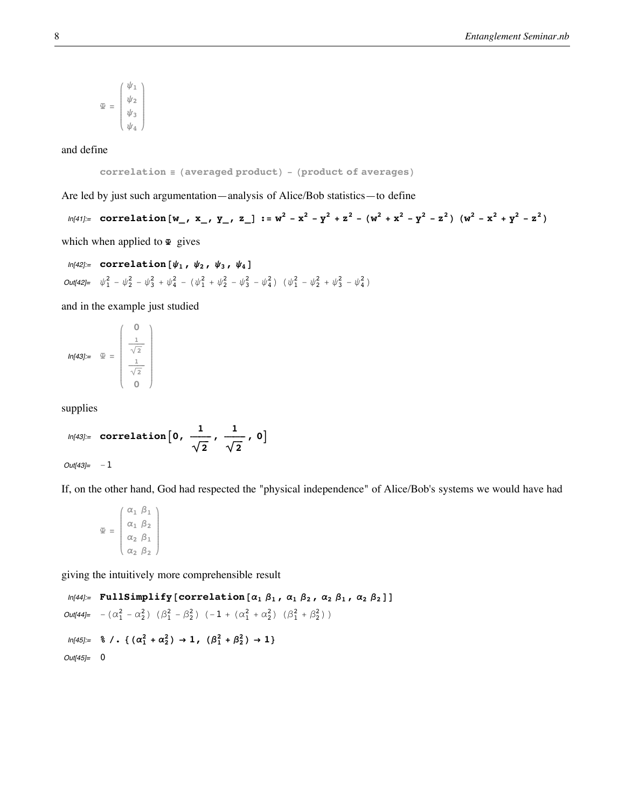$$
\mathfrak{D} = \begin{pmatrix} \psi_1 \\ \psi_2 \\ \psi_3 \\ \psi_4 \end{pmatrix}
$$

and define

$$
correlation \equiv (averaged \ product) - (product \ of \ averages)
$$

Are led by just such argumentation—analysis of Alice/Bob statistics—to define

 $ln[41]$  = correlation  $[w_1, x_1, y_1, z_1]$  :=  $w^2 - x^2 - y^2 + z^2 - (w^2 + x^2 - y^2 - z^2)$   $(w^2 - x^2 + y^2 - z^2)$ which when applied to  $\Phi$  gives

$$
ln[42] = \text{correlation} \left[ \psi_1, \psi_2, \psi_3, \psi_4 \right]
$$
\n
$$
Out[42] = \psi_1^2 - \psi_2^2 - \psi_3^2 + \psi_4^2 - (\psi_1^2 + \psi_2^2 - \psi_3^2 - \psi_4^2) \ (\psi_1^2 - \psi_2^2 + \psi_3^2 - \psi_4^2)
$$

and in the example just studied

$$
In[43]:=\quad \mathfrak{B}=\left(\begin{array}{c} 0\\ \frac{1}{\sqrt{2}}\\ \frac{1}{\sqrt{2}}\\ 0 \end{array}\right)
$$

supplies

$$
ln[43] = correlation\left[0, \frac{1}{\sqrt{2}}, \frac{1}{\sqrt{2}}, 0\right]
$$

 $Out[43]= -1$ 

If, on the other hand, God had respected the "physical independence" of Alice/Bob's systems we would have had

$$
\mathfrak{L} = \begin{pmatrix} \alpha_1 & \beta_1 \\ \alpha_1 & \beta_2 \\ \alpha_2 & \beta_1 \\ \alpha_2 & \beta_2 \end{pmatrix}
$$

giving the intuitively more comprehensible result

 $In [44]:$  FullSimplify [correlation  $[\alpha_1 \ \beta_1 \ , \ \alpha_1 \ \beta_2 \ , \ \alpha_2 \ \beta_1 \ , \ \alpha_2 \ \beta_2 ]$  ] Out[44]=  $-(\alpha_1^2 - \alpha_2^2) (\beta_1^2 - \beta_2^2) (-1 + (\alpha_1^2 + \alpha_2^2) (\beta_1^2 + \beta_2^2))$  $ln[45] = % \left( . 6 \frac{2}{1} + \alpha_2^2 \right) \rightarrow 1, ( \beta_1^2 + \beta_2^2 ) \rightarrow 1 \}$ Out[45]= 0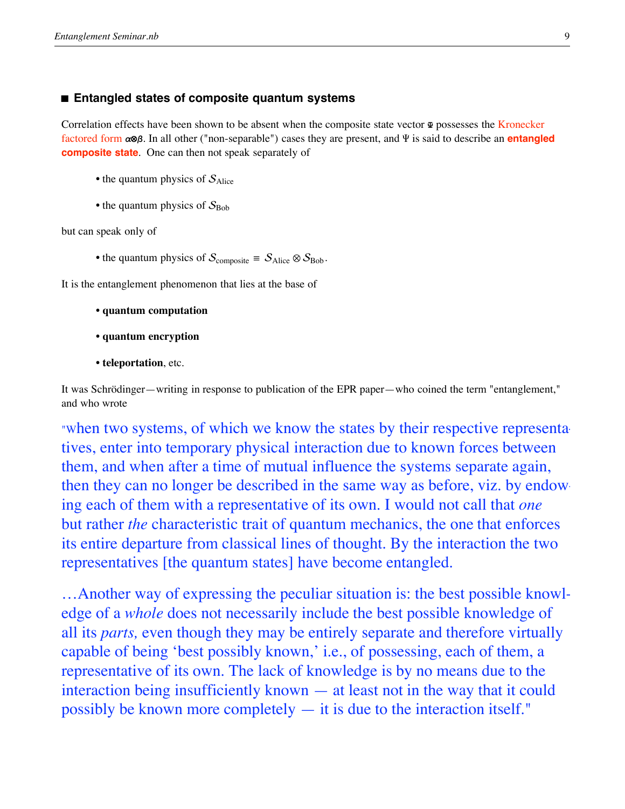# ■ **Entangled states of composite quantum systems**

Correlation effects have been shown to be absent when the composite state vector  $\Phi$  possesses the Kronecker factored form **a⊗b**. In all other ("non-separable") cases they are present, and Y is said to describe an **entangled composite state**. One can then not speak separately of

- the quantum physics of  $S_{Alice}$
- the quantum physics of  $S_{\text{Bob}}$

but can speak only of

• the quantum physics of  $S_{\text{composite}} \equiv S_{\text{Alice}} \otimes S_{\text{Bob}}$ .

It is the entanglement phenomenon that lies at the base of

- **quantum computation**
- **quantum encryption**
- **teleportation**, etc.

It was Schrödinger—writing in response to publication of the EPR paper—who coined the term "entanglement," and who wrote

"When two systems, of which we know the states by their respective representatives, enter into temporary physical interaction due to known forces between them, and when after a time of mutual influence the systems separate again, then they can no longer be described in the same way as before, viz. by endowing each of them with a representative of its own. I would not call that *one* but rather *the* characteristic trait of quantum mechanics, the one that enforces its entire departure from classical lines of thought. By the interaction the two representatives [the quantum states] have become entangled.

…Another way of expressing the peculiar situation is: the best possible knowledge of a *whole* does not necessarily include the best possible knowledge of all its *parts,* even though they may be entirely separate and therefore virtually capable of being 'best possibly known,' i.e., of possessing, each of them, a representative of its own. The lack of knowledge is by no means due to the interaction being insufficiently known — at least not in the way that it could possibly be known more completely — it is due to the interaction itself."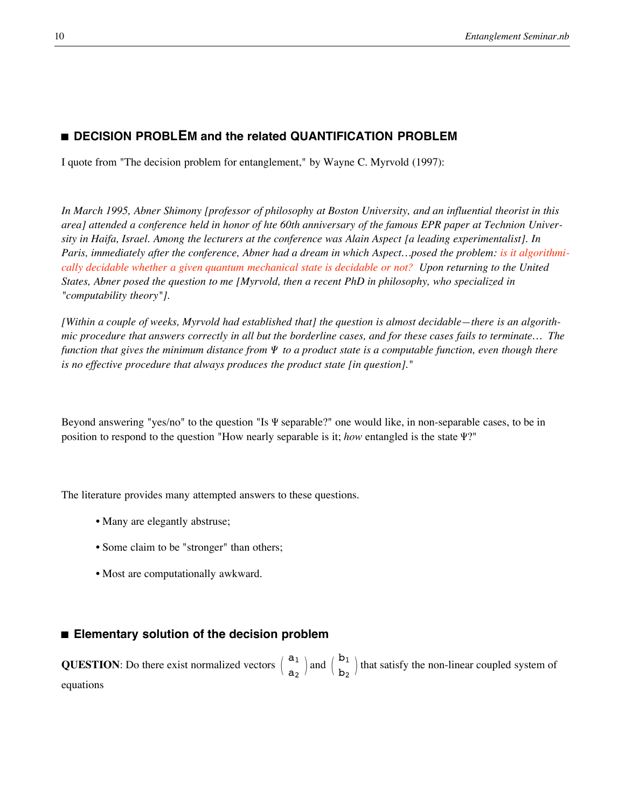# $\blacksquare$  **DECISION PROBLEM** and the related QUANTIFICATION PROBLEM

I quote from "The decision problem for entanglement," by Wayne C. Myrvold (1997):

*In March 1995, Abner Shimony [professor of philosophy at Boston University, and an influential theorist in this area] attended a conference held in honor of hte 60th anniversary of the famous EPR paper at Technion University in Haifa, Israel. Among the lecturers at the conference was Alain Aspect [a leading experimentalist]. In Paris, immediately after the conference, Abner had a dream in which Aspect…posed the problem: is it algorithmically decidable whether a given quantum mechanical state is decidable or not? Upon returning to the United States, Abner posed the question to me [Myrvold, then a recent PhD in philosophy, who specialized in "computability theory"].*

*[Within a couple of weeks, Myrvold had established that] the question is almost decidable—there is an algorithmic procedure that answers correctly in all but the borderline cases, and for these cases fails to terminate… The function that gives the minimum distance from* <sup>Y</sup> *to a product state is a computable function, even though there is no effective procedure that always produces the product state [in question]."*

Beyond answering "yes/no" to the question "Is Y separable?" one would like, in non-separable cases, to be in position to respond to the question "How nearly separable is it; *how* entangled is the state Y?"

The literature provides many attempted answers to these questions.

- Many are elegantly abstruse;
- Some claim to be "stronger" than others;
- Most are computationally awkward.

# ■ **Elementary solution of the decision problem**

**QUESTION**: Do there exist normalized vectors  $\begin{pmatrix} a_1 \\ a_2 \end{pmatrix}$  and  $\begin{pmatrix} b_1 \\ b_2 \end{pmatrix}$  that satisfy the non-linear coupled system of equations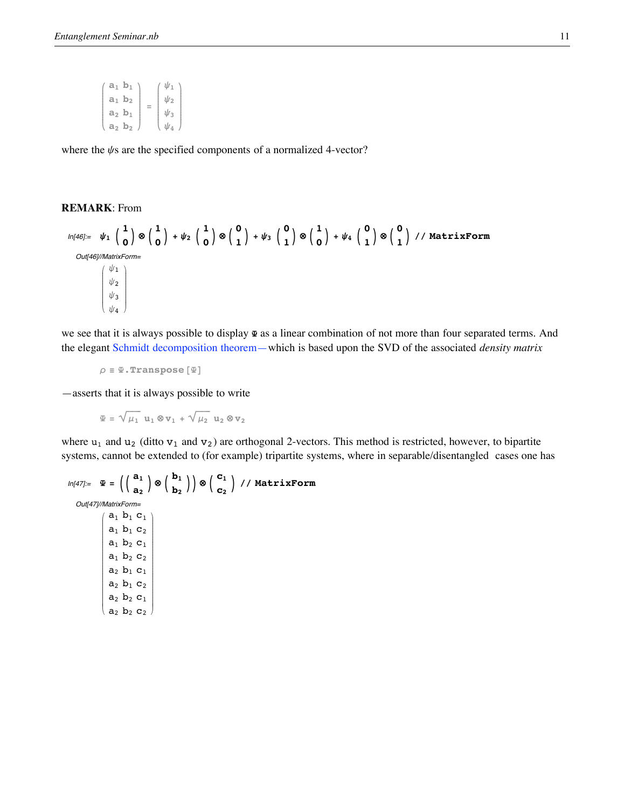| $\psi_2$<br>$a_1 b_2$   |  |
|-------------------------|--|
|                         |  |
| $\psi_3$<br>$a_2 b_1$   |  |
| $\psi_4$<br>$a_2$ $b_2$ |  |

where the  $\psi$ s are the specified components of a normalized 4-vector?

# **REMARK**: From

k

$$
ln[46] := \psi_1 \begin{pmatrix} 1 \\ 0 \end{pmatrix} \otimes \begin{pmatrix} 1 \\ 0 \end{pmatrix} + \psi_2 \begin{pmatrix} 1 \\ 0 \end{pmatrix} \otimes \begin{pmatrix} 0 \\ 1 \end{pmatrix} + \psi_3 \begin{pmatrix} 0 \\ 1 \end{pmatrix} \otimes \begin{pmatrix} 1 \\ 0 \end{pmatrix} + \psi_4 \begin{pmatrix} 0 \\ 1 \end{pmatrix} \otimes \begin{pmatrix} 0 \\ 1 \end{pmatrix} / / MatrixForm
$$
  
\n $Out[46] // MatrixForm$   
\n $\begin{pmatrix} \psi_1 \\ \psi_2 \\ \psi_3 \\ \psi_4 \end{pmatrix}$ 

we see that it is always possible to display **Y** as a linear combination of not more than four separated terms. And the elegant Schmidt decomposition theorem—which is based upon the SVD of the associated *density matrix*

 $\rho \equiv \Psi$ .Transpose<sup>[ $\Psi$ ]</sup>

—asserts that it is always possible to write

 $\frac{1}{2}$ 

 $\mathbf{\Psi} = \sqrt{\mu_1} \mathbf{u}_1 \otimes \mathbf{v}_1 + \sqrt{\mu_2} \mathbf{u}_2 \otimes \mathbf{v}_2$ 

where  $u_1$  and  $u_2$  (ditto  $v_1$  and  $v_2$ ) are orthogonal 2-vectors. This method is restricted, however, to bipartite systems, cannot be extended to (for example) tripartite systems, where in separable/disentangled cases one has

```
\ln[47] = \mathbf{\Psi} = \left( \begin{pmatrix} \mathbf{a}_1 \\ \mathbf{a}_2 \end{pmatrix} \otimes \begin{pmatrix} \mathbf{b}_1 \\ \mathbf{b}_2 \end{pmatrix} \right) \otimes \begin{pmatrix} \mathbf{c}_1 \\ \mathbf{c}_2 \end{pmatrix} // MatrixForm
   Out[47]//MatrixForm=
                     i
                     jjjjjjjjjjjjjjjjjjjjjjjjjjjjjjjjj
                          \mathtt{a}_1 \mathtt{b}_1 \mathtt{c}_1a_1 b_1 c_2a_1 b_2 c_1a_1 b_2 c_2a_2 b_1 c_1a_2 b_1 c_2a_2 b_2 c_1a_2 b_2 c_2\mathbf{I}zzzzzzzzzzzzzzzzzzzzzzzzzzzzzzzzz
```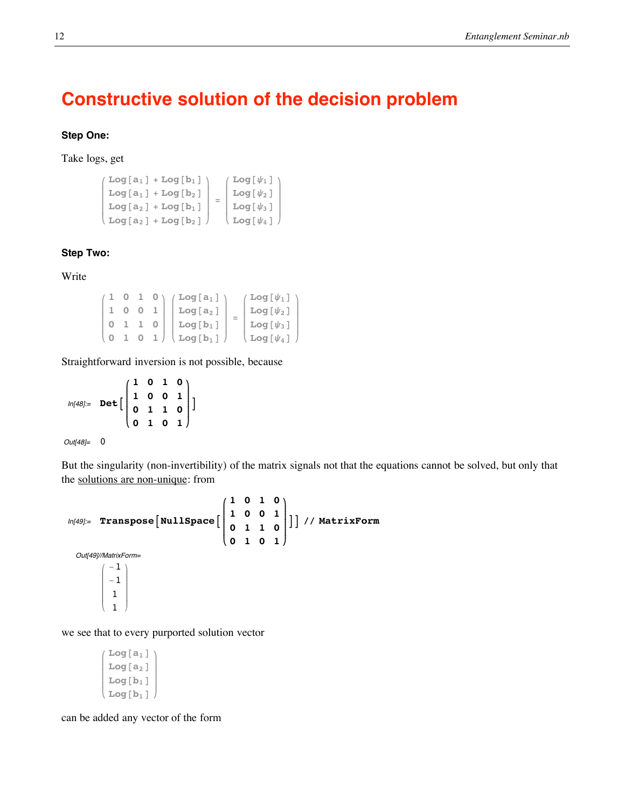# **Constructive solution of the decision problem**

# **Step One:**

Take logs, get

```
i
k
jjjjjjjjjjjj
   Log[a_1] + Log[b_1] \rightarrow\texttt{Log}[a_1] + \texttt{Log}[b_2]Log[a_2] + Log[b_1]\texttt{Log}[a_2] + \texttt{Log}[b_2]\mathbf{r}{
                                             zzzzzzzzzzzz
                                                 =
                                                     i
                                                     k
                                                     jjjjjjjjjjjj
                                                     \sqrt{Log[\psi_1]}\text{Log}[\psi_2]Log[\psi_3]\texttt{Log}[\psi_4]\mathbf{r}{
                                                                            zzzzzzzzzzzz
```
# **Step Two:**

Write

| $1$ 0 1 0 $'$                                 | $/$ Log[a $_{1}$ ]              | $($ Log[ $\psi_1$ ] $)$                    |
|-----------------------------------------------|---------------------------------|--------------------------------------------|
| 001                                           | $Log[a_2]$                      | $\lfloor \log \left[\psi_2\right] \rfloor$ |
| 1 1 0                                         | $Log[b_1]$                      | $\lfloor \log \left[\psi_3\right] \rfloor$ |
| $\begin{pmatrix} 0 & 1 & 0 & 1 \end{pmatrix}$ | $\log\left[\mathbf{b}_1\right]$ | $\left($ Log[ $\psi_4$ ] $\right)$         |

Straightforward inversion is not possible, because

 $ln[48] =$  **Det i k**  $\sqrt{\frac{1}{2}}$ **1 0 1 0 1 0 0 1 0 1 1 0 0 1 0 1 y { zzzzzzzzzzzz E**

```
Out[48]= 0
```
But the singularity (non-invertibility) of the matrix signals not that the equations cannot be solved, but only that the solutions are non-unique: from

```
In[49]:= Transpose \begin{bmatrix} \texttt{NullSpace} \end{bmatrix}i
                                                            k
                                                            \sqrt{\frac{1}{2}}1 0 1 0
                                                               1 0 0 1
                                                               0 1 1 0
                                                               0 1 0 1
                                                                                    y
                                                                                    {
                                                                                    zzzzzzzzzzzz
                                                                                      EE êê MatrixForm
  Out[49]//MatrixForm=
            i
            k
            j<br>J<br/>j\eta-1
               -1
                1
                1
                     \frac{1}{2}\overline{a}\overline{\phantom{a}}
```
we see that to every purported solution vector

```
i
k
jjjjjjjjjjjj
   Log<sup>[a_1]</sup>
   Log<sup>[a_2]</sup>
   Log[b_1]Log[b_1]\mathbf{r}{
                        zzzzzzzzzzzz
```
can be added any vector of the form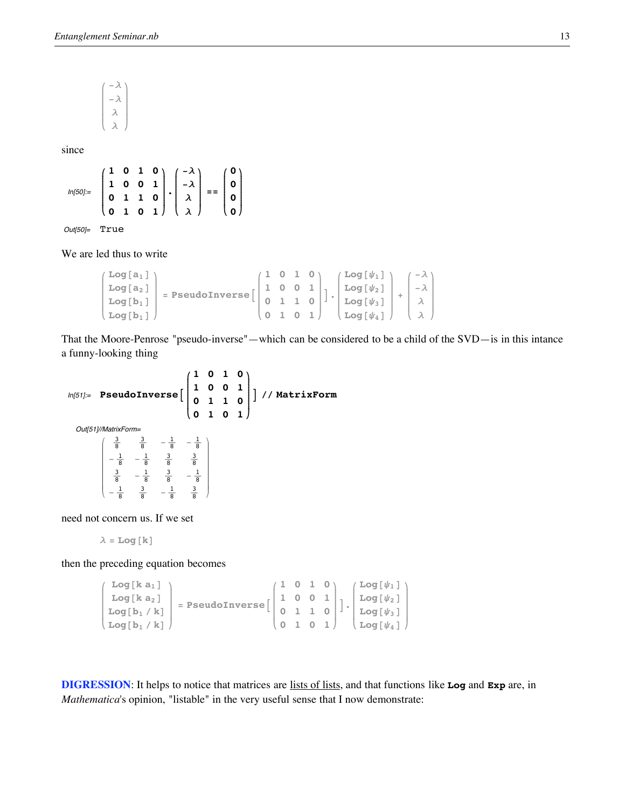$\int$ <sup>- $\lambda$ </sup> **k jjjjjjjjjjjj -l l l**  $\mathbf{r}$ **{ zzzzzzzzzzzz**

since

In[50]:= **i k**  $\sqrt{\frac{1}{2}}$ **1 0 1 0 1 0 0 1 0 1 1 0 0 1 0 1**  $\mathbf{I}$ **{ zzzzzzzzzzzz . i k**  $\sqrt{\frac{1}{2}}$ **-l -l l l**  $\mathbf{I}$ **{ zzzzzzzzzzzz == i k**  $\sqrt{\frac{1}{2}}$ **0 0 0 0**  $\mathbf{r}$ **{ zzzzzzzzzzzz**

Out[50]= True

We are led thus to write

```
\intLog\begin{bmatrix} a_1 \\ b_2 \end{bmatrix}k
jjjjjjjjjjjj
    Log[a_2]Log[b_1]\texttt{Log}[b_1]\mathbf{r}{
                             zzzzzzzzzzzz
                                  = PseudoInverse
                                                                                     \begin{pmatrix} 1 & 0 & 1 & 0 \\ 1 & 0 & 0 & 1 \end{pmatrix}k
                                                                                     jjjjjjjjjjjj
                                                                                          1 0 0 1
                                                                                          0 1 1 0
                                                                                          0 1 0 1
                                                                                                                       \mathbf{r}{
                                                                                                                       zzzzzzzzzzzz
                                                                                                                          E.
                                                                                                                                 \intLog\left[\psi_1\right]k
                                                                                                                                 jjjjjjjjjjjj
                                                                                                                                      \text{Log} [\psi_2]\text{Log} [\psi_3]\texttt{Log} [\psi_4]\mathbf{r}{
                                                                                                                                                              zzzzzzzzzzzz
                                                                                                                                                                   +
                                                                                                                                                                        \int<sup>-\lambda</sup>
                                                                                                                                                                        k
                                                                                                                                                                        jjjjjjjjjjjj
                                                                                                                                                                            -l
                                                                                                                                                                              l
                                                                                                                                                                              l
                                                                                                                                                                                     \mathbf{r}{
                                                                                                                                                                                     zzzzzzzzzzzz
```
That the Moore-Penrose "pseudo-inverse"—which can be considered to be a child of the SVD—is in this intance a funny-looking thing

```
In[51]:= PseudoInverseA
                                                              \begin{pmatrix} 1 & 0 & 1 & 0 \\ 1 & 0 & 0 & 1 \end{pmatrix}k
                                                              \sqrt{\frac{1}{2}}1 0 0 1
                                                                  0 1 1 0
                                                                  0 1 0 1
                                                                                               y
                                                                                               {
                                                                                               zzzzzzzzzzzz
                                                                                                  E êê MatrixForm
  Out[51]//MatrixForm=
                \begin{pmatrix} \frac{3}{8} & \frac{3}{8} & -\frac{1}{8} & -\frac{1}{8} \end{pmatrix}k
                j<br>J<br/>j\frac{1}{2}-\frac{1}{8} -\frac{1}{8} \frac{3}{8} \frac{3}{8}\frac{3}{8} -\frac{1}{8} \frac{3}{8} -\frac{1}{8}-\frac{1}{8} \frac{3}{8} -\frac{1}{8} \frac{3}{8}8
                                                      8
                                                                  8
                                                                         \mathbf{r}\overline{a}\overline{\phantom{a}}
```
need not concern us. If we set

```
\lambda = Log[k]
```
then the preceding equation becomes

```
i
k
jjjjjjjjjjjj
    Log[k a_1]Log[k a_2]Log [b_1 / k]Log [b_1 / k]\mathbf{r}{
                         zzzzzzzzzzzz
                             = PseudoInverse
                                                                i
                                                                k
                                                                jjjjjjjjjjjj
                                                                   1 0 1 0
                                                                   1 0 0 1
                                                                   0 1 1 0
                                                                   0 1 0 1
                                                                                       \mathbf{r}{
                                                                                       zzzzzzzzzzzz
                                                                                          E.
                                                                                              i
                                                                                              k
                                                                                              jjjjjjjjjjjj
                                                                                                  \text{Log} [\psi_1]\text{Log} [\psi_2]\text{Log} [\psi_3]\texttt{Log} [\psi_4]\mathbf{r}{
                                                                                                                  zzzzzzzzzzzz
```
**DIGRESSION**: It helps to notice that matrices are lists of lists, and that functions like **Log** and **Exp** are, in *Mathematica*'s opinion, "listable" in the very useful sense that I now demonstrate: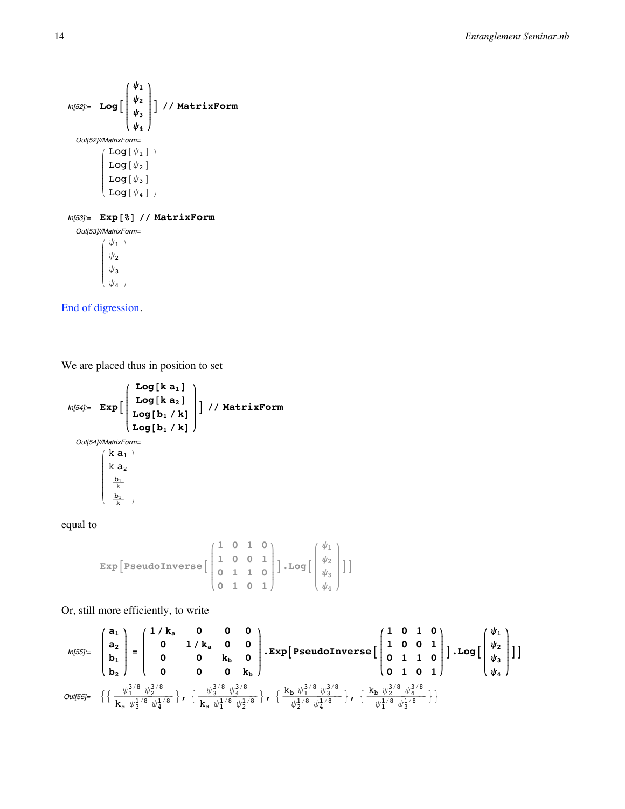

i k j<br>J<br/>j $\eta$  $\psi_1$  $\psi_2$  $\psi_3$  $\psi_4$  $\mathbf{r}$  $\overline{a}$  $\overline{a}$ 

End of digression.

We are placed thus in position to set

$$
ln[54] := \mathbf{Exp}\left[\begin{array}{c}\mathbf{Log}[\mathbf{k} \ \mathbf{a}_1] \\
\mathbf{Log}[\mathbf{k} \ \mathbf{a}_2] \\
\mathbf{Log}[\mathbf{b}_1 / \mathbf{k}] \end{array}\right] \Big) / / \mathbf{MatrixForm}
$$
\n
$$
Out[54] / MatrikForm = \begin{pmatrix} \mathbf{k} \ \mathbf{a}_1 \\ \mathbf{k} \ \mathbf{a}_2 \\ \mathbf{k} \ \mathbf{a}_2 \\ \frac{\mathbf{b}_1}{\mathbf{k}} \\ \frac{\mathbf{b}_1}{\mathbf{k}} \end{pmatrix}
$$

equal to

Exp[Pseudonverse 
$$
\begin{bmatrix} 1 & 0 & 1 & 0 \\ 1 & 0 & 0 & 1 \\ 0 & 1 & 1 & 0 \\ 0 & 1 & 0 & 1 \end{bmatrix}
$$
].Log  $\begin{bmatrix} \psi_1 \\ \psi_2 \\ \psi_3 \\ \psi_4 \end{bmatrix}$ ]

Or, still more efficiently, to write

$$
ln[55] = \begin{pmatrix} a_1 \\ a_2 \\ b_1 \\ b_2 \end{pmatrix} = \begin{pmatrix} 1/k_a & 0 & 0 & 0 \\ 0 & 1/k_a & 0 & 0 \\ 0 & 0 & k_b & 0 \\ 0 & 0 & 0 & k_b \end{pmatrix} \cdot \text{Exp} \left[ \text{PseudoInverse} \left[ \begin{pmatrix} 1 & 0 & 1 & 0 \\ 1 & 0 & 0 & 1 \\ 0 & 1 & 1 & 0 \\ 0 & 1 & 0 & 1 \end{pmatrix} \right] \right] \cdot \text{Log} \left[ \begin{pmatrix} \psi_1 \\ \psi_2 \\ \psi_3 \\ \psi_4 \end{pmatrix} \right] \right]
$$
  
Out[55]= 
$$
\left\{ \left\{ \begin{pmatrix} \frac{\psi_1^{3/8}}{k} \frac{\psi_2^{3/8}}{k} & \frac{\psi_3^{3/8}}{k} \frac{\psi_4^{3/8}}{k} \\ k_a \frac{\psi_1^{1/8}}{k} \frac{\psi_2^{1/8}}{k} & \frac{\psi_2^{1/8}}{k} \frac{\psi_4^{1/8}}{k} \end{pmatrix} \right\}, \ \left\{ \begin{pmatrix} \frac{k_b}{\psi_2^{1/8}} \frac{\psi_3^{3/8}}{k} & \frac{\psi_4^{3/8}}{k} \\ \frac{\psi_1^{1/8}}{k} \frac{\psi_4^{1/8}}{k} & \frac{\psi_4^{1/8}}{k} \end{pmatrix} \right\}
$$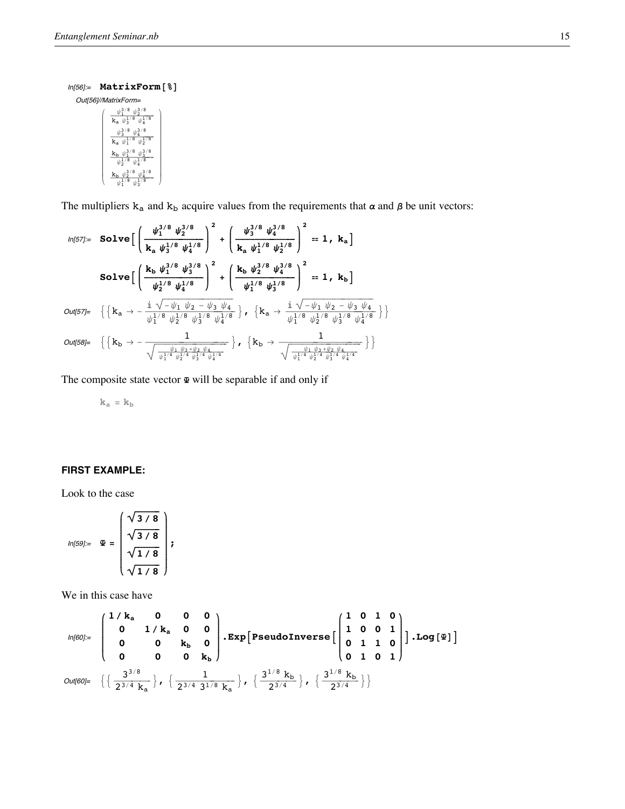```
In [56] = MatrixForm [8]
```
Out[56]//MatrixForm=  $\psi_1^{3/8}$   $\psi_2^{3/8}$  $k_a \psi_3^1$  $\sqrt[3]{\frac{1}{4}}$  $\psi_3^{3/8}$   $\psi_4^{3/8}$  $k_a \overline{\psi_1^L}$  $\psi_2^1$  $\frac{{\bf k_b} \ \psi_1^{3/8} \ \psi_3^{3/8}}{\psi_2^{1/8} \ \psi_4^{1/8}}$  $\begin{matrix} &\checkmark^4\\ k_b&\psi_2^{3/8}&\psi_4^{3/8}\\ \psi_1^{1/8}&\psi_+^{1/8}\end{matrix}$ 

The multipliers  $k_a$  and  $k_b$  acquire values from the requirements that  $\alpha$  and  $\beta$  be unit vectors:

$$
ln[57] := \text{Solve}\left[\left(\frac{\psi_1^{3/8} \psi_2^{3/8}}{k_a \psi_3^{1/8} \psi_4^{1/8}}\right)^2 + \left(\frac{\psi_3^{3/8} \psi_4^{3/8}}{k_a \psi_1^{1/8} \psi_2^{1/8}}\right)^2 = 1, k_a\right]
$$
\n
$$
\text{Solve}\left[\left(\frac{k_b \psi_1^{3/8} \psi_3^{3/8}}{\psi_2^{1/8} \psi_4^{1/8}}\right)^2 + \left(\frac{k_b \psi_2^{3/8} \psi_4^{3/8}}{\psi_1^{1/8} \psi_3^{1/8}}\right)^2 = 1, k_b\right]
$$
\n
$$
Out[57] = \left\{\left\{k_a \to -\frac{\mathrm{i} \sqrt{-\psi_1 \psi_2 - \psi_3 \psi_4}}{\psi_1^{1/8} \psi_2^{1/8} \psi_3^{1/8} \psi_4^{1/8}}\right\}, \left\{k_a \to \frac{\mathrm{i} \sqrt{-\psi_1 \psi_2 - \psi_3 \psi_4}}{\psi_1^{1/8} \psi_2^{1/8} \psi_3^{1/8} \psi_4^{1/8}}\right\}\right\}
$$
\n
$$
Out[58] = \left\{\left\{k_b \to -\frac{1}{\sqrt{\frac{\psi_1 \psi_3 + \psi_2 \psi_4}{\psi_1^{1/4} \psi_2^{1/4} \psi_3^{1/4}}}}\right\}, \left\{k_b \to \frac{1}{\sqrt{\frac{\psi_1 \psi_3 + \psi_2 \psi_4}{\psi_1^{1/4} \psi_2^{1/4} \psi_3^{1/4}}}}\right\}\right\}
$$

The composite state vector  $\mathbf{\Psi}$  will be separable if and only if

 $\mathbf{k}_\mathrm{a}=\mathbf{k}_\mathrm{b}$ 

# **FIRST EXAMPLE:**

Look to the case

$$
ln[59] = \mathbf{\Psi} = \begin{pmatrix} \sqrt{3/8} \\ \sqrt{3/8} \\ \sqrt{1/8} \\ \sqrt{1/8} \end{pmatrix};
$$

We in this case have

$$
\text{Out[60]} = \begin{pmatrix} 1/k_a & 0 & 0 & 0 \\ 0 & 1/k_a & 0 & 0 \\ 0 & 0 & k_b & 0 \\ 0 & 0 & 0 & k_b \end{pmatrix}.\text{Exp}[\text{PseudoInverse}\left[\begin{pmatrix} 1 & 0 & 1 & 0 \\ 1 & 0 & 0 & 1 \\ 0 & 1 & 1 & 0 \\ 0 & 1 & 0 & 1 \end{pmatrix}].\text{Log}[\text{F}] \right]
$$
  
\n
$$
\text{Out[60]} = \left\{ \left\{ \frac{3^{3/8}}{2^{3/4} k_a} \right\}, \left\{ \frac{1}{2^{3/4} 3^{1/8} k_a} \right\}, \left\{ \frac{3^{1/8} k_b}{2^{3/4}} \right\}, \left\{ \frac{3^{1/8} k_b}{2^{3/4}} \right\} \right\}
$$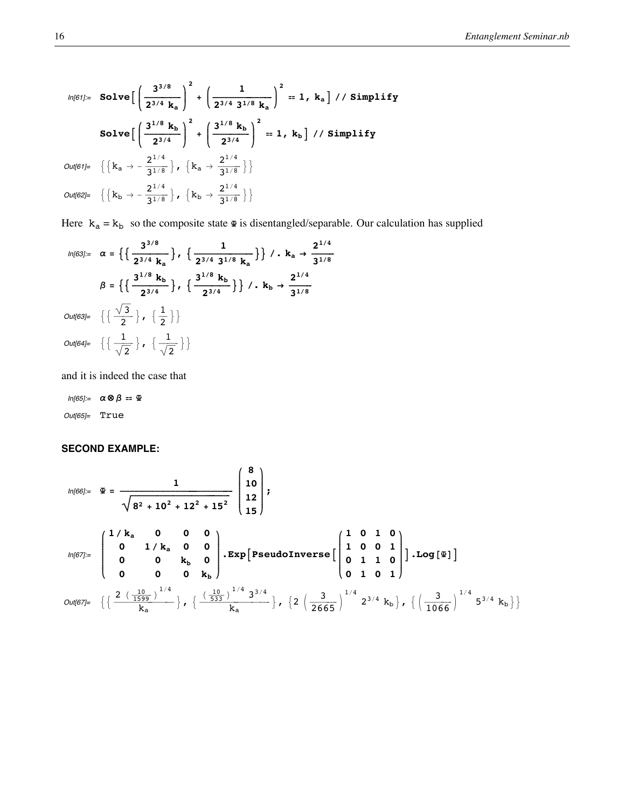$$
ln[61] = \text{Solve}\left[\left(\frac{3^{3/8}}{2^{3/4} k_a}\right)^2 + \left(\frac{1}{2^{3/4} 3^{1/8} k_a}\right)^2 = 1, k_a\right] // \text{Simplify}
$$
\n
$$
\text{Solve}\left[\left(\frac{3^{1/8} k_b}{2^{3/4}}\right)^2 + \left(\frac{3^{1/8} k_b}{2^{3/4}}\right)^2 = 1, k_b\right] // \text{Simplify}
$$
\n
$$
Out[61] = \left\{\left\{k_a \to -\frac{2^{1/4}}{3^{1/8}}\right\}, \left\{k_a \to \frac{2^{1/4}}{3^{1/8}}\right\}\right\}
$$
\n
$$
Out[62] = \left\{\left\{k_b \to -\frac{2^{1/4}}{3^{1/8}}\right\}, \left\{k_b \to \frac{2^{1/4}}{3^{1/8}}\right\}\right\}
$$

Here  $k_a = k_b$  so the composite state  $\Phi$  is disentangled/separable. Our calculation has supplied

$$
ln[63] = \alpha = \left\{ \left\{ \frac{3^{3/8}}{2^{3/4} k_a} \right\}, \left\{ \frac{1}{2^{3/4} 3^{1/8} k_a} \right\} \right\} / \cdot k_a \rightarrow \frac{2^{1/4}}{3^{1/8}}
$$

$$
\beta = \left\{ \left\{ \frac{3^{1/8} k_b}{2^{3/4}} \right\}, \left\{ \frac{3^{1/8} k_b}{2^{3/4}} \right\} \right\} / \cdot k_b \rightarrow \frac{2^{1/4}}{3^{1/8}}
$$

$$
Out[63] = \left\{ \left\{ \frac{\sqrt{3}}{2} \right\}, \left\{ \frac{1}{2} \right\} \right\}
$$

$$
Out[64] = \left\{ \left\{ \frac{1}{\sqrt{2}} \right\}, \left\{ \frac{1}{\sqrt{2}} \right\} \right\}
$$

and it is indeed the case that

$$
In[65] := \alpha \otimes \beta = \Psi
$$
  
Out[65] = True

# **SECOND EXAMPLE:**

$$
ln[66] := \mathbf{\mathcal{P}} = \frac{1}{\sqrt{8^2 + 10^2 + 12^2 + 15^2}} \begin{pmatrix} 8 \\ 10 \\ 12 \\ 15 \end{pmatrix};
$$
\n
$$
ln[67] = \begin{pmatrix} 1/k_a & 0 & 0 & 0 \\ 0 & 1/k_a & 0 & 0 \\ 0 & 0 & k_b & 0 \\ 0 & 0 & 0 & k_b \end{pmatrix} \cdot \mathbf{Exp} \begin{bmatrix} \mathbf{Pseudonverse} \begin{bmatrix} 1 & 0 & 1 & 0 \\ 1 & 0 & 0 & 1 \\ 0 & 1 & 1 & 0 \\ 0 & 1 & 0 & 1 \end{bmatrix} \cdot Log \begin{bmatrix} \mathbf{\mathcal{P}} \end{bmatrix} \end{bmatrix}
$$
\n
$$
Out[67] = \left\{ \left\{ \frac{2(\frac{10}{1599})^{1/4}}{k_a} \right\}, \left\{ \frac{(\frac{10}{533})^{1/4} 3^{3/4}}{k_a} \right\}, \left\{ 2(\frac{3}{2665})^{1/4} 2^{3/4} k_b \right\}, \left\{ (\frac{3}{1066})^{1/4} 5^{3/4} k_b \right\} \right\}
$$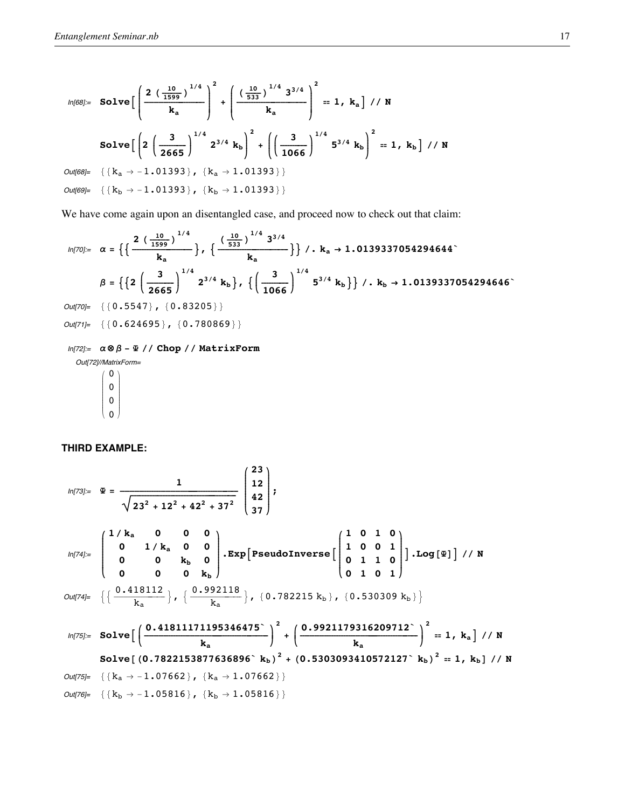$$
ln[68] = \text{Solve}\left[\left(\frac{2\left(\frac{10}{1599}\right)^{1/4}}{k_a}\right)^2 + \left(\frac{\left(\frac{10}{533}\right)^{1/4} 3^{3/4}}{k_a}\right)^2 = 1, k_a\right] // N
$$
\n
$$
\text{Solve}\left[\left(2\left(\frac{3}{2665}\right)^{1/4} 2^{3/4} k_b\right)^2 + \left(\left(\frac{3}{1066}\right)^{1/4} 5^{3/4} k_b\right)^2 = 1, k_b\right] // N
$$
\n
$$
Out[68] = \left\{\left\{k_a \to -1.01393\right\}, \left\{k_a \to 1.01393\right\}\right\}
$$
\n
$$
Out[69] = \left\{\left\{k_b \to -1.01393\right\}, \left\{k_b \to 1.01393\right\}\right\}
$$

We have come again upon an disentangled case, and proceed now to check out that claim:

$$
ln[70] = \alpha = \left\{ \left\{ \frac{2 \left(\frac{10}{1599}\right)^{1/4}}{k_a} \right\}, \left\{ \frac{\left(\frac{10}{533}\right)^{1/4} 3^{3/4}}{k_a} \right\} \right\} / . k_a \rightarrow 1.0139337054294644^{\circ}
$$
\n
$$
\beta = \left\{ \left\{ 2 \left(\frac{3}{2665}\right)^{1/4} 2^{3/4} k_b \right\}, \left\{ \left(\frac{3}{1066}\right)^{1/4} 5^{3/4} k_b \right\} \right\} / . k_b \rightarrow 1.0139337054294646^{\circ}
$$

 $Out[70]=\ \ \{\ \{\ 0\ \centerdot 5547\ \} \ \ ,\ \ \{ \ 0\ \centerdot 83205\ \} \ \}$ 

 $Out[71]=\ \ \{\ \{\ 0\ \centerdot\ 624695\ \} \ \ ,\ \ \{ \ 0\ \centerdot\ 780869\ \} \ \}$ 

# $ln[72]$  =  $\alpha \otimes \beta - \Psi$  // Chop // MatrixForm

Out[72]//MatrixForm=

 $\mathbf{0}$  $\pmb{0}$  $\pmb{0}$  $\pmb{0}$ 

# THIRD EXAMPLE:

$$
ln[73] = \mathbf{F} = \frac{1}{\sqrt{23^2 + 12^2 + 42^2 + 37^2}} \begin{pmatrix} 23 \\ 12 \\ 42 \\ 37 \end{pmatrix};
$$
\n
$$
ln[74] = \begin{pmatrix} 1/k_a & 0 & 0 & 0 \\ 0 & 1/k_a & 0 & 0 \\ 0 & 0 & k_b & 0 \\ 0 & 0 & 0 & k_b \end{pmatrix} \cdot \text{Exp}[\text{PseudoInverse}[\begin{pmatrix} 1 & 0 & 1 & 0 \\ 1 & 0 & 0 & 1 \\ 0 & 1 & 1 & 0 \\ 0 & 1 & 0 & 1 \end{pmatrix}].Log[\mathbf{F}].
$$
\n
$$
Out[74] = \left\{ \left\{ \frac{0.418112}{k_a} \right\}, \left\{ \frac{0.992118}{k_a} \right\}, \{0.782215 k_b\}, \{0.530309 k_b\} \right\}
$$
\n
$$
ln[75] = Solve\left[\left(\frac{0.41811171195346475}{k_a}\right)^2 + \left(\frac{0.9921179316209712^2}{k_a}\right)^2 = 1, k_a\right] // N
$$
\n
$$
Out[75] = \{k_a \rightarrow -1.07662\}, \{k_a \rightarrow 1.07662\}\}
$$
\n
$$
Out[76] = \{k_b \rightarrow -1.05816\}, \{k_b \rightarrow 1.05816\}\}
$$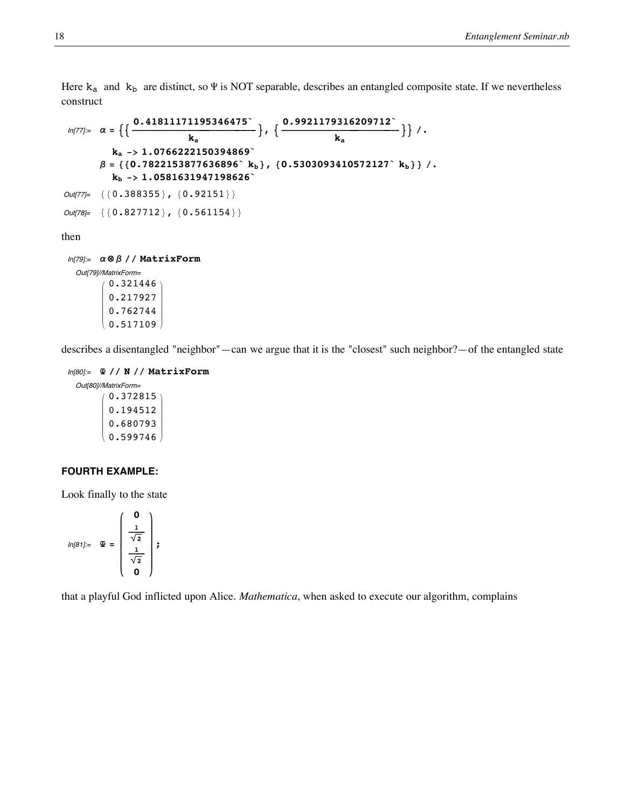Here  $k_a$  and  $k_b$  are distinct, so  $\Psi$  is NOT separable, describes an entangled composite state. If we nevertheless construct

```
ln[77] = \alpha = \Big\{ \Big\{ \frac{0.41811171195346475^{\circ}}{k_a} \Big\} \, , \ \Big\{ \frac{0.9921179316209712^{\circ}}{k_a} \Big\} \Big\} \, / \, .ka -> 1.0766222150394869`
           \beta = \{ \{0.7822153877636896^{\circ} \text{ } \textbf{k}_\text{b} \}, \{0.5303093410572127^{\circ} \text{ } \textbf{k}_\text{b} \} /.
               kb -> 1.0581631947198626`
Out[77]= {\{0.388355\}}, {0.92151}\}Out [78] = \{ \{ 0.827712 \} , \{ 0.561154 \} \}
```
then

```
In[79]:= a ⊗ b êê MatrixForm
  Out[79]//MatrixForm=
         i
         k
         j<br>J<br/>j\eta0.321446
           0.217927
           0.762744
            0.517109\frac{1}{2}\overline{a}
```
describes a disentangled "neighbor"—can we argue that it is the "closest" such neighbor?—of the entangled state

In[80]:= **<sup>Y</sup> êê <sup>N</sup> êê MatrixForm**

Out[80]//MatrixForm= i k j<br>J<br/>j $\eta$ 0.372815 0.194512 0.680793 0.599746  $\mathbf{r}$  $^{\prime}$  $\overline{\phantom{a}}$ 

# **FOURTH EXAMPLE:**

Look finally to the state

$$
ln[81]:=\quad \mathfrak{D}=\left(\begin{array}{c} \mathbf{0} \\ \frac{1}{\sqrt{2}} \\ \frac{1}{\sqrt{2}} \\ \mathbf{0} \end{array}\right);
$$

that a playful God inflicted upon Alice. *Mathematica*, when asked to execute our algorithm, complains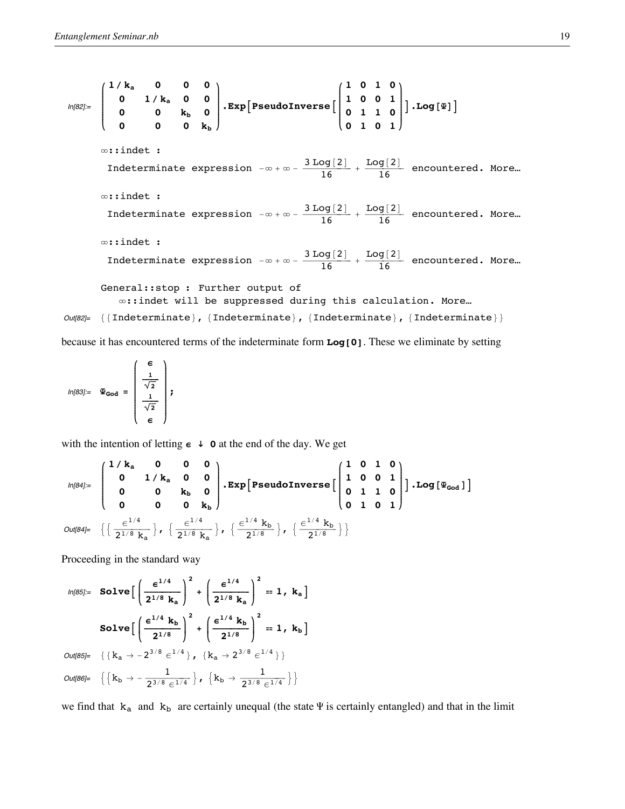In[82]:=  $\begin{pmatrix} 1/k_a & 0 & 0 & 0 \ 0 & 1/k_a & 0 & 0 \end{pmatrix}$ **k**  $\sqrt{\frac{1}{2}}$ **0 1 ê ka 0 0 0 0 kb 0 0 0 0 kb**  $\mathbf{I}$ **{ zzzzzzzzzzzz**  $\mathbf{Exp}\left[\mathbf{PseudoInverse}\right]$  $\begin{pmatrix} 1 & 0 & 1 & 0 \\ 1 & 0 & 0 & 1 \end{pmatrix}$ **k**  $\sqrt{\frac{1}{2}}$ **1 0 0 1 0 1 1 0 0 1 0 1**  $\mathbf{r}$ **{ zzzzzzzzzzzz**  $\big]$  . Log  $[\mathbf{\Psi}]\big]$ ¶::indet : Indeterminate expression  $-\infty+\infty-\frac{3 \log[2]}{16}+\frac{\log[2]}{16}$  encountered. More... ¶::indet : Indeterminate expression  $-\infty + \infty - \frac{3 \text{ Log}[2]}{16} + \frac{\text{Log}[2]}{16}$  encountered. More... ¶::indet : Indeterminate expression  $-\infty+\infty-\frac{3 \text{ Log}[2]}{16}+\frac{\text{Log}[2]}{16}$  encountered. More... General::stop : Further output of ¶::indet will be suppressed during this calculation. More… Out[82]= {{Indeterminate}, {Indeterminate}, {Indeterminate}}

because it has encountered terms of the indeterminate form **Log[0]**. These we eliminate by setting

In[83]:= **YGod = i e k**  $\sqrt{2}$  $\frac{1}{\sqrt{2}}$  $\frac{1}{\sqrt{2}}$ **e**  $\mathbf{r}$ **{ zzzzzzzzzzzzzzzzzz ;**

with the intention of letting  $\epsilon \rightarrow 0$  at the end of the day. We get

$$
\text{Un[84]:} = \begin{pmatrix} 1/k_a & 0 & 0 & 0 \\ 0 & 1/k_a & 0 & 0 \\ 0 & 0 & k_b & 0 \\ 0 & 0 & 0 & k_b \end{pmatrix} \cdot \text{Exp} \left[ \text{PseudoInverse} \left[ \begin{pmatrix} 1 & 0 & 1 & 0 \\ 1 & 0 & 0 & 1 \\ 0 & 1 & 1 & 0 \\ 0 & 1 & 0 & 1 \end{pmatrix} \right] \cdot \text{Log} \left[ \Psi_{\text{God}} \right] \right]
$$
\n
$$
\text{Out[84]:} = \left\{ \left\{ \frac{\epsilon^{1/4}}{2^{1/8} k_a} \right\}, \left\{ \frac{\epsilon^{1/4}}{2^{1/8} k_a} \right\}, \left\{ \frac{\epsilon^{1/4} k_b}{2^{1/8}} \right\}, \left\{ \frac{\epsilon^{1/4} k_b}{2^{1/8}} \right\} \right\}
$$

Proceeding in the standard way

$$
ln[85] = \text{Solve}\left[\left(\frac{\epsilon^{1/4}}{2^{1/8} k_a}\right)^2 + \left(\frac{\epsilon^{1/4}}{2^{1/8} k_a}\right)^2 = 1, k_a\right]
$$

$$
\text{Solve}\left[\left(\frac{\epsilon^{1/4} k_b}{2^{1/8}}\right)^2 + \left(\frac{\epsilon^{1/4} k_b}{2^{1/8}}\right)^2 = 1, k_b\right]
$$

$$
Out[85] = \left\{\left\{k_a \to -2^{3/8} \epsilon^{1/4}\right\}, \left\{k_a \to 2^{3/8} \epsilon^{1/4}\right\}\right\}
$$

$$
Out[86] = \left\{\left\{k_b \to -\frac{1}{2^{3/8} \epsilon^{1/4}}\right\}, \left\{k_b \to \frac{1}{2^{3/8} \epsilon^{1/4}}\right\}\right\}
$$

we find that  $k_a$  and  $k_b$  are certainly unequal (the state  $\Psi$  is certainly entangled) and that in the limit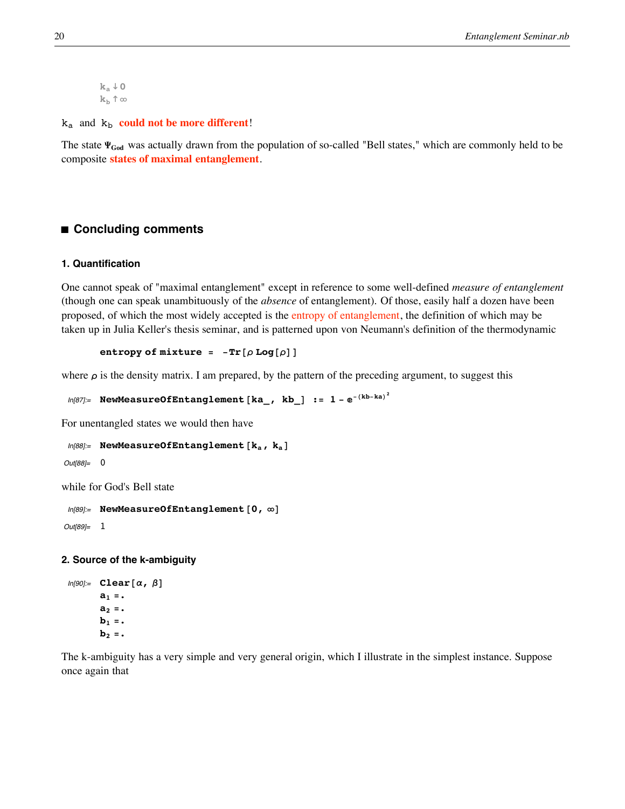$k_a \downarrow 0$  $k<sub>b</sub>$   $\uparrow \infty$ 

 $k_a$  and  $k_b$  **could not be more different!** 

The state  $\Psi_{God}$  was actually drawn from the population of so-called "Bell states," which are commonly held to be composite **states of maximal entanglement**.

# ■ **Concluding comments**

### **1. Quantification**

One cannot speak of "maximal entanglement" except in reference to some well-defined *measure of entanglement* (though one can speak unambituously of the *absence* of entanglement). Of those, easily half a dozen have been proposed, of which the most widely accepted is the entropy of entanglement, the definition of which may be taken up in Julia Keller's thesis seminar, and is patterned upon von Neumann's definition of the thermodynamic

```
entropy of \text{mixture} = -\text{Tr}[\rho \text{Log}[\rho]]
```
where  $\rho$  is the density matrix. I am prepared, by the pattern of the preceding argument, to suggest this

```
ln[87] := NewMeasureOfEntanglement [ka_, kb_] := 1 - e^{-(kb-ka)^2}
```
For unentangled states we would then have

```
In[88]:= NewMeasureOfEntanglement [\mathbf{k}_a, \mathbf{k}_a]
```
Out[88]= 0

while for God's Bell state

```
In[89]:= NewMeasureOfEntanglement [0, \infty]
```
Out[89]= 1

# **2. Source of the k-ambiguity**

```
In[90]= Clear[\alpha, \beta]a_1 =.
         a_2 =
         \mathbf{b}_2 = \cdot
```
The k-ambiguity has a very simple and very general origin, which I illustrate in the simplest instance. Suppose once again that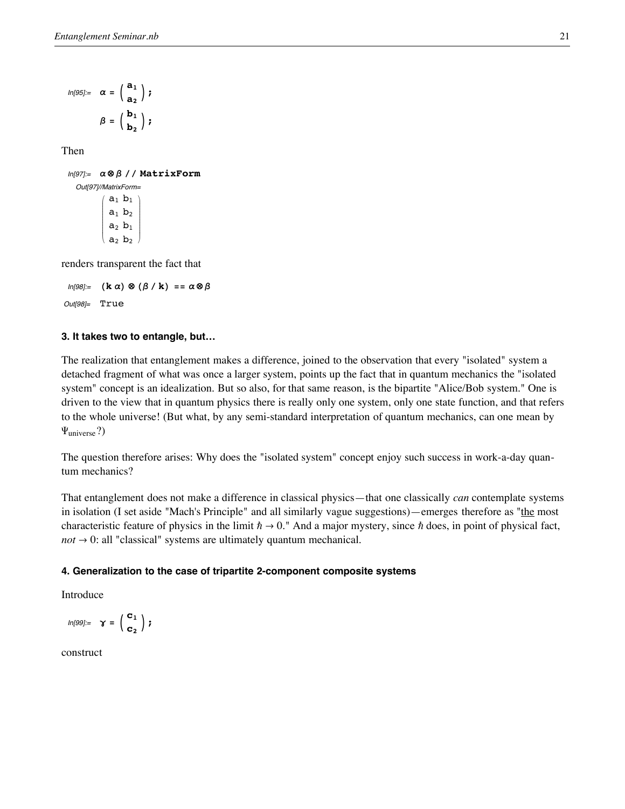$$
\begin{array}{cc} ln[95]:= & \alpha = \left( \begin{array}{c} {\bf a}_1 \\[1mm] {\bf a}_2 \end{array} \right) \, ; \\[1mm] \beta = \left( \begin{array}{c} {\bf b}_1 \\[1mm] {\bf b}_2 \end{array} \right) \, ; \end{array}
$$

Then

In[97]:= **<sup>a</sup> <sup>⊗</sup> <sup>b</sup> êê MatrixForm** Out[97]//MatrixForm=

> i k j<br>J<br/>j $\eta$  $a_1 b_1$  $a_1$   $b_2$  $a_2 b_1$  $a_2 b_2$  $\overline{1}$  $\overline{a}$  $\overline{\phantom{a}}$

renders transparent the fact that

 $ln[98] :=$  **(k**  $\alpha$ )  $\otimes$  **(** $\beta$  /**k**) ==  $\alpha \otimes \beta$ Out[98]= True

# **3. It takes two to entangle, but…**

The realization that entanglement makes a difference, joined to the observation that every "isolated" system a detached fragment of what was once a larger system, points up the fact that in quantum mechanics the "isolated system" concept is an idealization. But so also, for that same reason, is the bipartite "Alice/Bob system." One is driven to the view that in quantum physics there is really only one system, only one state function, and that refers to the whole universe! (But what, by any semi-standard interpretation of quantum mechanics, can one mean by  $\Psi_{\text{universe}}$ ?)

The question therefore arises: Why does the "isolated system" concept enjoy such success in work-a-day quantum mechanics?

That entanglement does not make a difference in classical physics—that one classically *can* contemplate systems in isolation (I set aside "Mach's Principle" and all similarly vague suggestions)—emerges therefore as "the most characteristic feature of physics in the limit  $\hbar \to 0$ ." And a major mystery, since  $\hbar$  does, in point of physical fact,  $not \rightarrow 0$ : all "classical" systems are ultimately quantum mechanical.

# **4. Generalization to the case of tripartite 2-component composite systems**

Introduce

$$
\textit{In[99]:} \quad \gamma = \left( \begin{array}{c} \mathbf{c}_1 \\ \mathbf{c}_2 \end{array} \right) \textit{;} \label{eq:In[99]:}
$$

construct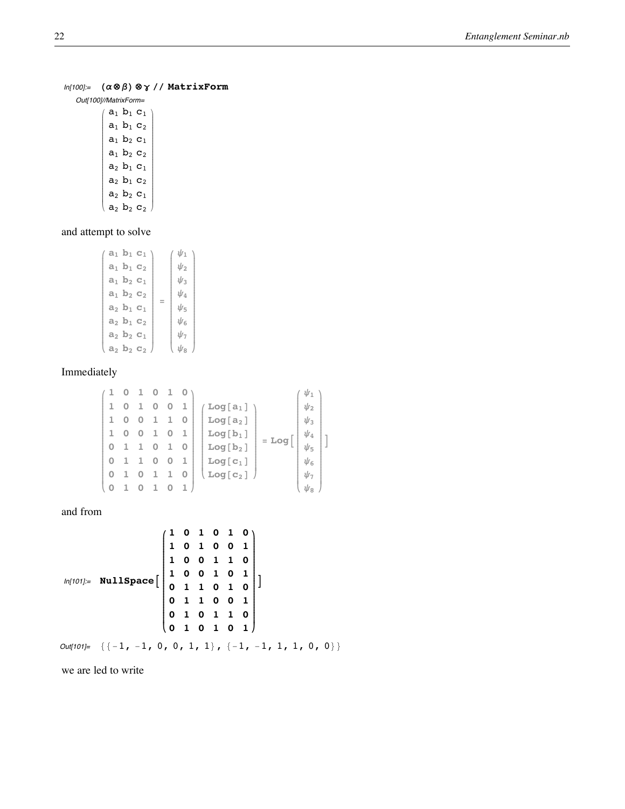# In[100]:= **H a ⊗ b L ⊗ <sup>g</sup> êê MatrixForm**

Out[100]//MatrixForm=

 $\left(\begin{array}{l} a_1\,\,b_1\,\,c_1\\ a_1\,\,b_1\,\,c_2\\ a_1\,\,b_2\,\,c_1\\ a_1\,\,b_2\,\,c_2\\ a_2\,\,b_1\,\,c_1\\ a_2\,\,b_2\,\,c_1\\ a_2\,\,b_2\,\,c_2 \end{array}\right)$  $\sum$ 

# and attempt to solve

| $a_1$ $b_1$ $c_1$ |     | ป/า      |
|-------------------|-----|----------|
| $a_1$ $b_1$ $c_2$ |     | ป่าว     |
| $a_1$ $b_2$ $c_1$ |     | U٩       |
| $a_1$ $b_2$ $c_2$ |     | ψΔ       |
| $a_2$ $b_1$ $c_1$ | $=$ | Ψҕ       |
| $a_2$ $b_1$ $c_2$ |     | ป่เ      |
| $a_2$ $b_2$ $c_1$ |     | $\psi_7$ |
| $a_2$ $b_2$ $c_2$ |     | ป่าะ     |
|                   |     |          |

**y{zzzzzzzzzzzzzzzzzzzzzzzzzzzzzzzzz**

#### Imme diately

$$
\begin{pmatrix}\n1 & 0 & 1 & 0 & 1 & 0 \\
1 & 0 & 1 & 0 & 0 & 1 \\
1 & 0 & 0 & 1 & 1 & 0 \\
0 & 1 & 1 & 0 & 1 & 0 \\
0 & 1 & 0 & 1 & 1 & 0 \\
0 & 1 & 0 & 1 & 1 & 0\n\end{pmatrix}\n\begin{pmatrix}\n\text{Log}[\mathbf{a}_1] \\
\text{Log}[\mathbf{a}_2] \\
\text{Log}[\mathbf{b}_1] \\
\text{Log}[\mathbf{b}_2] \\
\text{Log}[\mathbf{c}_1] \\
\text{Log}[\mathbf{c}_2]\n\end{pmatrix} = \text{Log}\begin{pmatrix}\n\psi_1 \\
\psi_2 \\
\psi_3 \\
\psi_4 \\
\psi_5 \\
\psi_6 \\
\psi_7 \\
\psi_8\n\end{pmatrix}
$$

and from

$$
ln[101] = NullSpace \begin{bmatrix} 1 & 0 & 1 & 0 & 1 & 0 \\ 1 & 0 & 1 & 0 & 0 & 1 \\ 1 & 0 & 0 & 1 & 1 & 0 \\ 1 & 0 & 0 & 1 & 0 & 1 \\ 0 & 1 & 1 & 0 & 1 & 0 \\ 0 & 1 & 1 & 0 & 0 & 1 \\ 0 & 1 & 0 & 1 & 1 & 0 \\ 0 & 1 & 0 & 1 & 0 & 1 \end{bmatrix}
$$

 $Out[101]= \{(-1, -1, 0, 0, 1, 1), (-1, -1, 1, 1, 0, 0)\}\$ 

we are led to write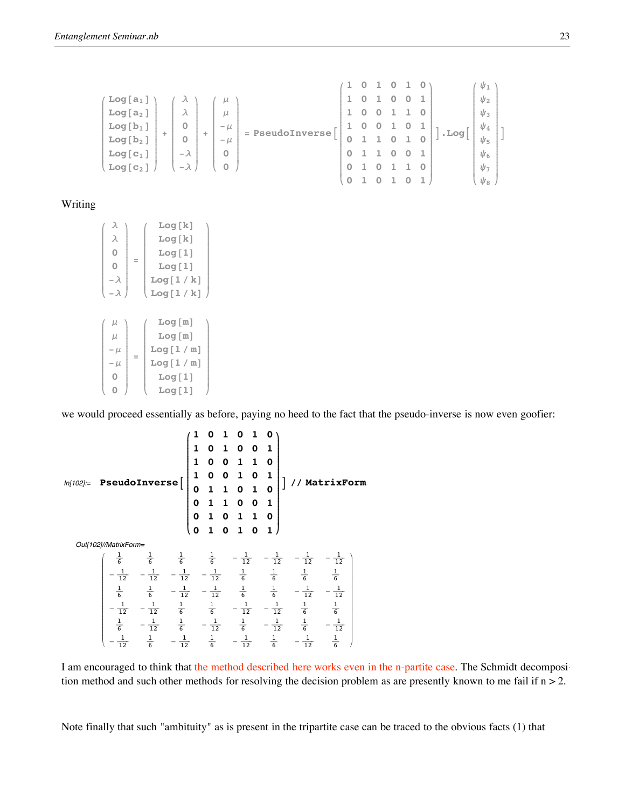$$
\begin{pmatrix}\n\text{Log} \begin{bmatrix}\na_1 \\
a_2\n\end{bmatrix} \\
\text{Log} \begin{bmatrix}\na_1 \\
a_2\n\end{bmatrix} \\
\text{Log} \begin{bmatrix}\nb_1 \\
b_2 \\
c_3\n\end{bmatrix} + \begin{bmatrix}\n\mu \\
\lambda \\
0 \\
0 \\
-\lambda \\
-\lambda\n\end{bmatrix} + \begin{bmatrix}\n\mu \\
\mu \\
-\mu \\
0 \\
0 \\
0\n\end{bmatrix} = \text{PseudoInverse}\begin{bmatrix}\n1 & 0 & 1 & 0 & 1 & 0 \\
1 & 0 & 1 & 0 & 0 & 1 \\
1 & 0 & 0 & 1 & 1 & 0 \\
0 & 1 & 1 & 0 & 1 & 0 \\
0 & 1 & 1 & 0 & 1 & 0 \\
0 & 1 & 0 & 1 & 1 & 0 \\
0 & 1 & 0 & 1 & 1 & 0 \\
0 & 1 & 0 & 1 & 0 & 1\n\end{bmatrix} \cdot \text{Log}\begin{bmatrix}\n\psi_1 \\
\psi_2 \\
\psi_3 \\
\psi_4 \\
\psi_5 \\
\psi_6 \\
\psi_7 \\
\psi_8\n\end{bmatrix}
$$

# Writing

|            |     | Log[k]   |  |
|------------|-----|----------|--|
| λ          |     | Log[k]   |  |
| 0          |     | Log[1]   |  |
| Ω          | $=$ | Log[1]   |  |
| – λ        |     | Log[1/k] |  |
| $-\lambda$ |     | Log[1/k] |  |
|            |     |          |  |
|            |     |          |  |
| μ          |     | Log[m]   |  |
| $\mu$      |     | Log[m]   |  |
| $-\mu$     |     | Log[1/m] |  |
| $-\mu$     | $=$ | Log[1/m] |  |
|            |     | Log[1]   |  |
|            |     | Log[1]   |  |

we would proceed essentially as before, paying no heed to the fact that the pseudo-inverse is now even goofier:

$$
Inf[102] := \text{PseudoInverse}\left[\begin{pmatrix}1 & 0 & 1 & 0 & 1 & 0 \\ 1 & 0 & 1 & 0 & 0 & 1 \\ 1 & 0 & 0 & 1 & 1 & 0 \\ 0 & 1 & 1 & 0 & 1 & 0 \\ 0 & 1 & 1 & 0 & 1 & 0 \\ 0 & 1 & 0 & 1 & 0 & 1\end{pmatrix}\right] // MatrixForm
$$
  
\n
$$
Out[102]/MatrixForm = \begin{pmatrix} \frac{1}{6} & \frac{1}{6} & \frac{1}{6} & \frac{1}{6} & -\frac{1}{12} & -\frac{1}{12} & -\frac{1}{12} & -\frac{1}{12} \\ -\frac{1}{12} & -\frac{1}{12} & -\frac{1}{12} & -\frac{1}{12} & \frac{1}{6} & \frac{1}{6} & \frac{1}{6} & \frac{1}{6} \\ \frac{1}{6} & \frac{1}{6} & -\frac{1}{12} & -\frac{1}{12} & \frac{1}{6} & \frac{1}{6} & -\frac{1}{12} & -\frac{1}{12} \\ -\frac{1}{12} & -\frac{1}{12} & -\frac{1}{12} & -\frac{1}{12} & \frac{1}{6} & \frac{1}{6} & -\frac{1}{12} & -\frac{1}{12} \\ -\frac{1}{12} & -\frac{1}{12} & \frac{1}{6} & -\frac{1}{12} & \frac{1}{6} & -\frac{1}{12} & -\frac{1}{12} & \frac{1}{6} & -\frac{1}{12} \\ -\frac{1}{12} & \frac{1}{6} & -\frac{1}{12} & \frac{1}{6} & -\frac{1}{12} & \frac{1}{6} & -\frac{1}{12} & \frac{1}{6} & -\frac{1}{12} \\ -\frac{1}{12} & \frac{1}{6} & -\frac{1}{12} & \frac{1}{6} & -\frac{1}{12} & \frac{1}{6} & -\frac{1}{12} & \frac{1}{6} \end{pmatrix}
$$

I am encouraged to think that the method described here works even in the n-partite case. The Schmidt decomposition method and such other methods for resolving the decision problem as are presently known to me fail if  $n > 2$ .

Note finally that such "ambituity" as is present in the tripartite case can be traced to the obvious facts (1) that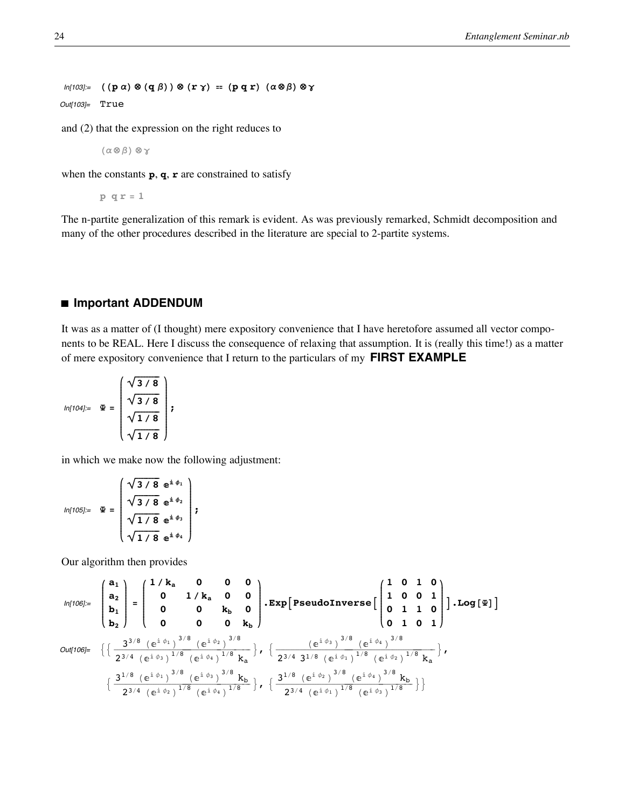$ln[103] =$   $((p \alpha) \otimes (q \beta)) \otimes (r \gamma) = (p q r) (a \otimes \beta) \otimes \gamma$ 

Out[103]= True

and  $(2)$  that the expression on the right reduces to

$$
(\alpha \otimes \beta) \otimes \gamma
$$

when the constants  $\mathbf{p}, \mathbf{q}, \mathbf{r}$  are constrained to satisfy

 $p q r = 1$ 

The n-partite generalization of this remark is evident. As was previously remarked, Schmidt decomposition and many of the other procedures described in the literature are special to 2-partite systems.

# ■ Important ADDENDUM

It was as a matter of (I thought) mere expository convenience that I have heretofore assumed all vector components to be REAL. Here I discuss the consequence of relaxing that assumption. It is (really this time!) as a matter of mere expository convenience that I return to the particulars of my FIRST EXAMPLE

$$
ln[104] = \mathbf{\Psi} = \begin{pmatrix} \sqrt{3}/8 \\ \sqrt{3}/8 \\ \sqrt{1}/8 \\ \sqrt{1}/8 \end{pmatrix};
$$

in which we make now the following adjustment:

$$
ln[105] = \mathfrak{E} = \begin{pmatrix} \sqrt{3/8} & e^{\mathfrak{i} \phi_1} \\ \sqrt{3/8} & e^{\mathfrak{i} \phi_2} \\ \sqrt{1/8} & e^{\mathfrak{i} \phi_3} \\ \sqrt{1/8} & e^{\mathfrak{i} \phi_4} \end{pmatrix};
$$

Our algorithm then provides

$$
\text{Out[106]} = \begin{pmatrix} a_1 \\ a_2 \\ b_1 \\ b_2 \end{pmatrix} = \begin{pmatrix} 1/k_a & 0 & 0 & 0 \\ 0 & 1/k_a & 0 & 0 \\ 0 & 0 & k_b & 0 \\ 0 & 0 & 0 & k_b \end{pmatrix} \cdot \text{Exp} \left[ \text{PseudoInverse} \left[ \begin{pmatrix} 1 & 0 & 1 & 0 \\ 1 & 0 & 0 & 1 \\ 0 & 1 & 1 & 0 \\ 0 & 1 & 0 & 1 \end{pmatrix} \right] \cdot \text{Log} \left[ \Psi \right] \right]
$$
\n
$$
\text{Out[106]} = \left\{ \left\{ \frac{3^{3/8} \left( e^{i \phi_1} \right)^{3/8} \left( e^{i \phi_2} \right)^{3/8}}{2^{3/4} \left( e^{i \phi_4} \right)^{1/8} k_a} \right\}, \left\{ \frac{\left( e^{i \phi_3} \right)^{3/8} \left( e^{i \phi_4} \right)^{3/8}}{2^{3/4} \left( e^{i \phi_1} \right)^{1/8} \left( e^{i \phi_2} \right)^{1/8} k_a} \right\}, \left\{ \frac{3^{1/8} \left( e^{i \phi_1} \right)^{3/8} \left( e^{i \phi_2} \right)^{3/8} \left( e^{i \phi_4} \right)^{1/8} k_b}{2^{3/4} \left( e^{i \phi_2} \right)^{1/8} \left( e^{i \phi_4} \right)^{1/8} \left( e^{i \phi_4} \right)^{1/8} \left( e^{i \phi_4} \right)^{1/8} \right] \right\}
$$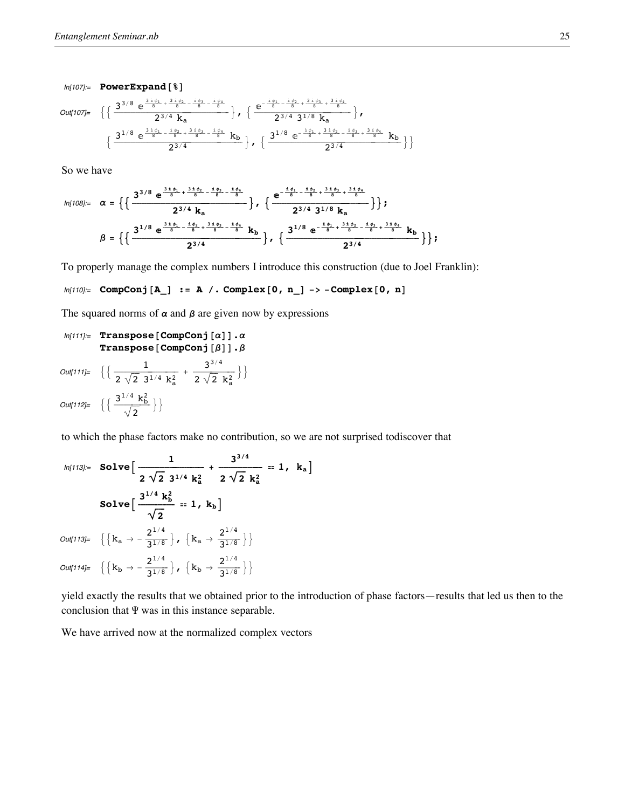$ln[107]$ := PowerExpand [  $\$  ]

Out[

$$
\begin{aligned}\n\left\{\frac{3^{3/8} \, e^{\frac{3 \, \dot{s}^{0} \, t}{8} + \frac{3 \, \dot{s}^{0} \, z}{8} - \frac{3 \, \dot{s}^{0}}{8}}}{2^{3/4} \, k_{a}}\right\}, \ \left\{\frac{e^{-\frac{3 \, \dot{s}^{0} \, t}{8} - \frac{3 \, \dot{s}^{0}}{8} + \frac{3 \, \dot{s}^{0}}{8} + \frac{3 \, \dot{s}^{0}}{8} + \frac{3 \, \dot{s}^{0}}{8}}}{2^{3/4} \, 3^{1/8} \, k_{a}}\right\}, \\
\left\{\frac{3^{1/8} \, e^{\frac{3 \, \dot{s}^{0} \, t}{8} - \frac{\dot{s}^{0} \, t}{8} + \frac{3 \, \dot{s}^{0} \, s}{8} - \frac{\dot{s}^{0} \, \dot{s}}{8}}}{2^{3/4}}\right\}, \ \left\{\frac{3^{1/8} \, e^{-\frac{\dot{s}^{0} \, t}{8} + \frac{3 \, \dot{s}^{0} \, s}{8} - \frac{\dot{s}^{0} \, s}{8} + \frac{3 \, \dot{s}^{0} \, s}{8}}}{2^{3/4}}\right\}\right\}\n\end{aligned}
$$

So we have

$$
ln[108] = \alpha = \left\{ \left\{ \frac{3^{3/8} e^{\frac{3^1 \phi_1}{8} + \frac{3^1 \phi_2}{8} - \frac{1^1 \phi_3}{8} - \frac{1^1 \phi_4}{8}}}{2^{3/4} k_a} \right\}, \left\{ \frac{e^{-\frac{1^1 \phi_1}{8} - \frac{1^1 \phi_2}{8} + \frac{3^1 \phi_3}{8} + \frac{3^1 \phi_4}{8}}}{2^{3/4} 3^{1/8} k_a} \right\} \right\};
$$

$$
\beta = \left\{ \left\{ \frac{3^{1/8} e^{\frac{3^1 \phi_1}{8} - \frac{1^1 \phi_2}{8} + \frac{3^1 \phi_3}{8} - \frac{1^1 \phi_4}{8}}}{2^{3/4}} k_b \right\}, \left\{ \frac{3^{1/8} e^{-\frac{1^1 \phi_1}{8} + \frac{3^1 \phi_2}{8} - \frac{1^1 \phi_3}{8} + \frac{3^1 \phi_4}{8}}}{2^{3/4}} k_b \right\} \right\};
$$

To properly manage the complex numbers I introduce this construction (due to Joel Franklin):

# $ln[110] =$  CompConj[A\_] := A /. Complex[0, n\_] -> -Complex[0, n]

The squared norms of  $\alpha$  and  $\beta$  are given now by expressions

```
In[111]: Transpose [CompConj [\alpha]].\alphaTranspose [CompConj[\beta]].\beta
```
 $\textit{Out[111]}{=}\quad \Big\{\Big\{\frac{1}{2\,\sqrt{2}\ 3^{1/4}\ {\rm k}_a^2}\,+\,\frac{3^{3/4}}{2\,\sqrt{2}\ {\rm k}_a^2}\,\Big\}\,\Big\}$ Out[112]=  $\left\{ \frac{3^{1/4} \text{ k}_{\text{b}}^2}{\sqrt{2}} \right\}$ 

to which the phase factors make no contribution, so we are not surprised todiscover that

$$
ln[113] = \text{Solve}\Big[\frac{1}{2\sqrt{2} \ 3^{1/4} \ k_{a}^{2}} + \frac{3^{3/4}}{2\sqrt{2} \ k_{a}^{2}} = 1, \ k_{a}\Big]
$$
  

$$
\text{Solve}\Big[\frac{3^{1/4} \ k_{b}^{2}}{\sqrt{2}} = 1, \ k_{b}\Big]
$$
  

$$
Out[113] = \left\{\left\{k_{a} \rightarrow -\frac{2^{1/4}}{3^{1/8}}\right\}, \ \left\{k_{a} \rightarrow \frac{2^{1/4}}{3^{1/8}}\right\}\right\}
$$
  

$$
Out[114] = \left\{\left\{k_{b} \rightarrow -\frac{2^{1/4}}{3^{1/8}}\right\}, \ \left\{k_{b} \rightarrow \frac{2^{1/4}}{3^{1/8}}\right\}\right\}
$$

yield exactly the results that we obtained prior to the introduction of phase factors—results that led us then to the conclusion that  $\Psi$  was in this instance separable.

We have arrived now at the normalized complex vectors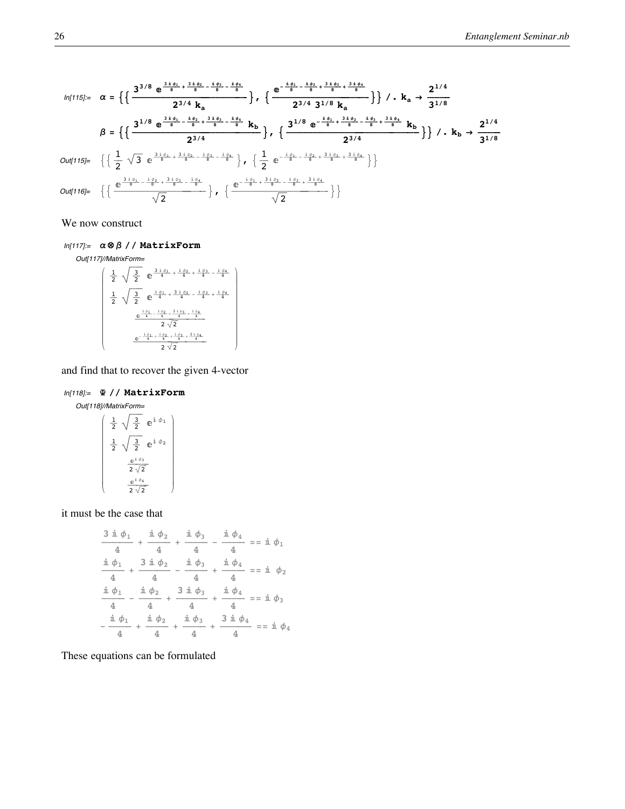$$
ln[115] := \alpha = \left\{ \left\{ \frac{3^{3/8} e^{\frac{3i\phi_1}{8} + \frac{3i\phi_2}{8} - \frac{i\phi_3}{8} - \frac{i\phi_4}{8}}}{2^{3/4} k_a} \right\}, \left\{ \frac{e^{-\frac{i\phi_1}{8} - \frac{i\phi_2}{8} + \frac{3i\phi_4}{8} + \frac{3i\phi_4}{8}}}{2^{3/4} k_a} \right\} \right\} / \cdot k_a \rightarrow \frac{2^{1/4}}{3^{1/8}}
$$
\n
$$
\beta = \left\{ \left\{ \frac{3^{1/8} e^{\frac{3i\phi_1}{8} - \frac{i\phi_2}{8} + \frac{3i\phi_2}{8} - \frac{i\phi_4}{8} + \frac{1\phi_4}{8}}}{2^{3/4} k_b} \right\}, \left\{ \frac{3^{1/8} e^{-\frac{i\phi_1}{8} + \frac{3i\phi_2}{8} - \frac{i\phi_1}{8} + \frac{3i\phi_4}{8} + \frac{3i\phi_4}{8} + \frac{3i\phi_4}{8} + \frac{3i\phi_4}{8} + \frac{3i\phi_4}{8}}{2^{3/4}} \right\} \right\} / \cdot k_b \rightarrow \frac{2^{1/4}}{3^{1/8}}
$$
\n
$$
Out[115] = \left\{ \left\{ \frac{1}{2} \sqrt{3} e^{\frac{3i\phi_1}{8} + \frac{3i\phi_2}{8} - \frac{i\phi_3}{8} - \frac{i\phi_4}{8}} \right\}, \left\{ \frac{1}{2} e^{-\frac{i\phi_1}{8} + \frac{3i\phi_2}{8} + \frac{3i\phi_4}{8} + \frac{3i\phi_4}{8}} \right\} \right\}
$$
\n
$$
Out[116] = \left\{ \left\{ \frac{e^{\frac{3i\phi_1}{8} - \frac{i\phi_2}{8} + \frac{3i\phi_3}{8} - \frac{i\phi_4}{8}} \right\}, \left\{ \frac{e^{-\frac{i\phi_1}{8} + \frac{3i\phi_2}{8} - \frac{i\phi_3}{8} + \frac{3i\phi_4}{8}} + \frac{3i\phi_4}{8}}{\sqrt{2}} \right\}
$$

We now construct

 $ln[117] = \alpha \otimes \beta$  // MatrixForm

$$
Out[117]/\text{MatrixForm} = \frac{1}{2} \sqrt{\frac{3}{2}} e^{-\frac{3 i \phi_1}{4} + \frac{i \phi_2}{4} + \frac{i \phi_3}{4} - \frac{i \phi_4}{4}}
$$

$$
\frac{1}{2} \sqrt{\frac{3}{2}} e^{-\frac{i \phi_1}{4} + \frac{3 i \phi_2}{4} - \frac{i \phi_3}{4} + \frac{i \phi_4}{4}}
$$

$$
e^{\frac{i \phi_1}{4} - \frac{i \phi_2}{4} + \frac{3 i \phi_3}{4} + \frac{i \phi_4}{4}}
$$

$$
2\sqrt{2}
$$

$$
e^{-\frac{i \phi_1}{4} + \frac{i \phi_2}{4} + \frac{i \phi_3}{4} + \frac{3 i \phi_4}{4}}
$$

$$
2\sqrt{2}
$$

and find that to recover the given 4-vector

# $ln[118]=$   $\Phi$  // MatrixForm

$$
\begin{array}{c}\n\text{Out[118]/\text{MatrixForm=}} \\
\begin{pmatrix}\n\frac{1}{2} & \sqrt{\frac{3}{2}} & e^{\frac{i}{2}\phi_1} \\
\frac{1}{2} & \sqrt{\frac{3}{2}} & e^{\frac{i}{2}\phi_2} \\
\frac{e^{\frac{i}{2}\phi_3}}{2\sqrt{2}} & \frac{e^{\frac{i}{2}\phi_4}}{2\sqrt{2}}\n\end{pmatrix}\n\end{array}
$$

it must be the case that

$$
\frac{3 \text{ i } \phi_1}{4} + \frac{\text{ i } \phi_2}{4} + \frac{\text{ i } \phi_3}{4} - \frac{\text{ i } \phi_4}{4} = \text{ i } \phi_1
$$
\n
$$
\frac{\text{ i } \phi_1}{4} + \frac{3 \text{ i } \phi_2}{4} - \frac{\text{ i } \phi_3}{4} + \frac{\text{ i } \phi_4}{4} = \text{ i } \phi_2
$$
\n
$$
\frac{\text{ i } \phi_1}{4} - \frac{\text{ i } \phi_2}{4} + \frac{3 \text{ i } \phi_3}{4} + \frac{\text{ i } \phi_4}{4} = \text{ i } \phi_3
$$
\n
$$
\frac{\text{ i } \phi_1}{4} - \frac{\text{ i } \phi_2}{4} + \frac{\text{ i } \phi_2}{4} + \frac{\text{ i } \phi_3}{4} + \frac{\text{ i } \phi_4}{4} = \text{ i } \phi_3
$$
\n
$$
-\frac{\text{ i } \phi_1}{4} + \frac{\text{ i } \phi_2}{4} + \frac{\text{ i } \phi_3}{4} + \frac{3 \text{ i } \phi_4}{4} = \text{ i } \phi_4
$$

These equations can be formulated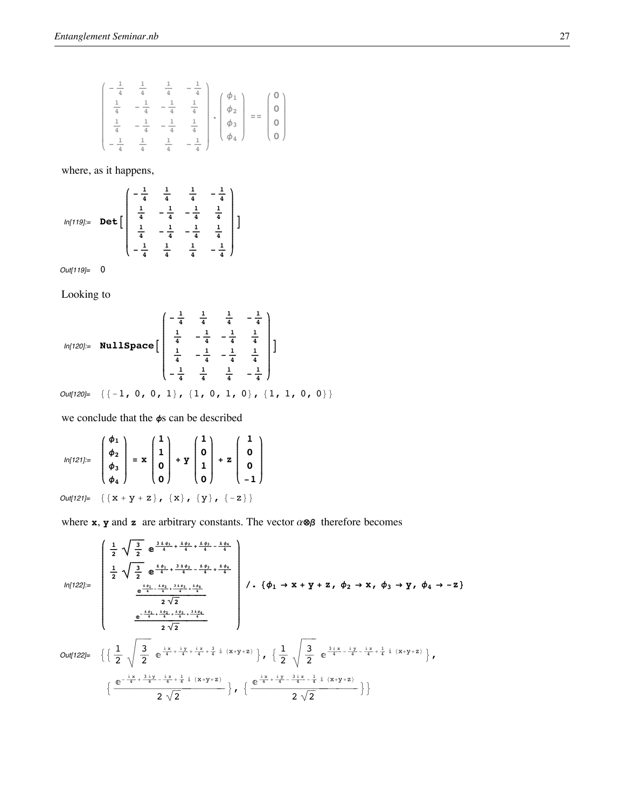$$
\begin{pmatrix}\n-\frac{1}{4} & \frac{1}{4} & \frac{1}{4} & -\frac{1}{4} \\
\frac{1}{4} & -\frac{1}{4} & -\frac{1}{4} & \frac{1}{4} \\
\frac{1}{4} & -\frac{1}{4} & -\frac{1}{4} & \frac{1}{4} \\
-\frac{1}{4} & \frac{1}{4} & \frac{1}{4} & -\frac{1}{4}\n\end{pmatrix}, \begin{pmatrix}\n\phi_1 \\
\phi_2 \\
\phi_3 \\
\phi_4\n\end{pmatrix} = \begin{pmatrix}\n0 \\
0 \\
0 \\
0\n\end{pmatrix}
$$

where, as it happens,

$$
ln[119] = \text{Det}\left[\begin{pmatrix} -\frac{1}{4} & \frac{1}{4} & \frac{1}{4} & -\frac{1}{4} \\ \frac{1}{4} & -\frac{1}{4} & -\frac{1}{4} & \frac{1}{4} \\ \frac{1}{4} & -\frac{1}{4} & -\frac{1}{4} & \frac{1}{4} \\ -\frac{1}{4} & \frac{1}{4} & \frac{1}{4} & -\frac{1}{4} \end{pmatrix}\right]
$$

Out[119]= 0

Looking to

$$
ln[120] = \text{NullSpace} \left[ \begin{array}{ccc} -\frac{1}{4} & \frac{1}{4} & \frac{1}{4} & -\frac{1}{4} \\ \frac{1}{4} & -\frac{1}{4} & -\frac{1}{4} & \frac{1}{4} \\ \frac{1}{4} & -\frac{1}{4} & -\frac{1}{4} & \frac{1}{4} \\ -\frac{1}{4} & \frac{1}{4} & \frac{1}{4} & -\frac{1}{4} \end{array} \right]
$$

 $Out[120]= \{ \{-1, 0, 0, 1\}, \{1, 0, 1, 0\}, \{1, 1, 0, 0\} \}$ 

we conclude that the  $\phi$ s can be described

$$
ln[121] = \begin{pmatrix} \phi_1 \\ \phi_2 \\ \phi_3 \\ \phi_4 \end{pmatrix} = \mathbf{x} \begin{pmatrix} 1 \\ 1 \\ 0 \\ 0 \end{pmatrix} + \mathbf{y} \begin{pmatrix} 1 \\ 0 \\ 1 \\ 0 \end{pmatrix} + \mathbf{z} \begin{pmatrix} 1 \\ 0 \\ 0 \\ -1 \end{pmatrix}
$$
  
Out[121] = { {x + y + z}, {x}, {y}, {y}, {-z}}

where **x**, **y** and **z** are arbitrary constants. The vector  $\alpha \otimes \beta$  therefore becomes

$$
0ut[122] = \begin{cases} \frac{1}{2} \sqrt{\frac{3}{2}} e^{\frac{3i\phi_1}{4} + \frac{3i\phi_2}{4} - \frac{i\phi_3}{4} - \frac{i\phi_4}{4}} \\ \frac{1}{2} \sqrt{\frac{3}{2}} e^{\frac{i\phi_1}{4} + \frac{3i\phi_2}{4} - \frac{i\phi_3}{4} + \frac{i\phi_4}{4}} \\ \frac{e^{\frac{i\phi_1}{4} + \frac{i\phi_2}{4} + \frac{3i\phi_3}{4} + \frac{i\phi_4}{4}}}{2\sqrt{2}} \end{cases} / \cdot \{ \phi_1 \rightarrow x + y + z, \phi_2 \rightarrow x, \phi_3 \rightarrow y, \phi_4 \rightarrow -z \} \\ 0ut[122] = \left\{ \left\{ \frac{1}{2} \sqrt{\frac{3}{2}} e^{\frac{i\chi}{4} + \frac{i\gamma}{4} + \frac{i\chi}{4} + \frac{i\chi}{4} + \frac{3}{4}i} (x+y+z) \right\}, \left\{ \frac{1}{2} \sqrt{\frac{3}{2}} e^{\frac{3i\chi}{4} - \frac{i\gamma}{4} - \frac{i\chi}{4} + \frac{1}{4}i} (x+y+z) \right\}, \\ \left\{ \frac{e^{-\frac{i\chi}{4} + \frac{3i\gamma}{4} - \frac{i\chi}{4} + \frac{1}{4}i} (x+y+z)}{2\sqrt{2}} \right\}, \left\{ \frac{e^{\frac{i\chi}{4} + \frac{i\gamma}{4} - \frac{3i\chi}{4} - \frac{1}{4}i} (x+y+z)}{2\sqrt{2}} \right\} \right\} \end{cases}
$$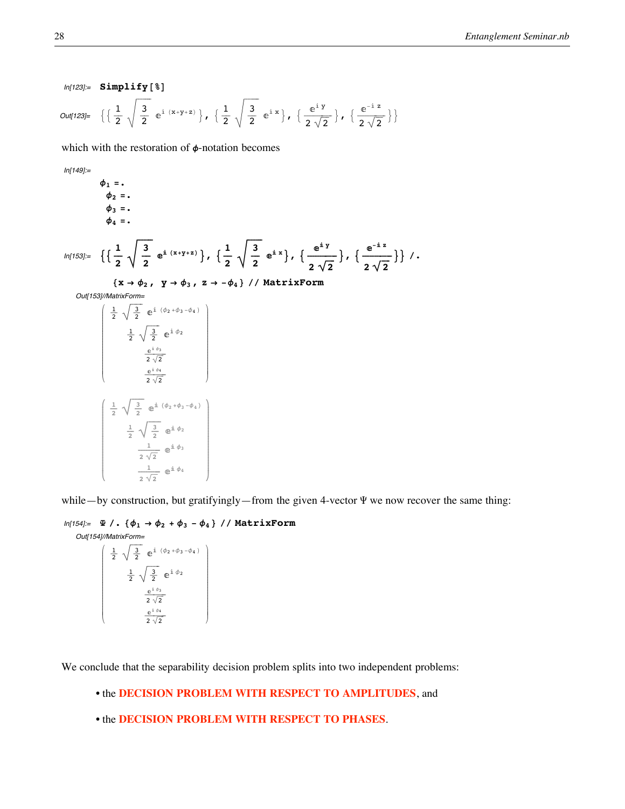$$
ln[123]= \text{Simplify}[\text{2}]
$$
\n
$$
Out[123]= \left\{ \left\{ \frac{1}{2} \sqrt{\frac{3}{2}} e^{i (x+y+z)} \right\}, \left\{ \frac{1}{2} \sqrt{\frac{3}{2}} e^{i x} \right\}, \left\{ \frac{e^{i y}}{2 \sqrt{2}} \right\}, \left\{ \frac{e^{-i z}}{2 \sqrt{2}} \right\} \right\}
$$

which with the restoration of  $\phi$ -notation becomes

 $ln[149]$ :=

 $\phi_1 =$ .  $\phi_2 =$ .  $\phi_3 = .$  $\phi_4 =$ .

 $ln[1]$ 

$$
[53] = \left\{ \left\{ \frac{1}{2} \sqrt{\frac{3}{2}} e^{i (x+y+z)} \right\}, \left\{ \frac{1}{2} \sqrt{\frac{3}{2}} e^{i x} \right\}, \left\{ \frac{e^{i y}}{2 \sqrt{2}} \right\}, \left\{ \frac{e^{-i z}}{2 \sqrt{2}} \right\} \right\} /
$$

 $\{x \rightarrow \phi_2, y \rightarrow \phi_3, z \rightarrow -\phi_4\}$  // MatrixForm

Out[153]//MatrixForm=

$$
\begin{pmatrix}\n\frac{1}{2} & \sqrt{\frac{3}{2}} & e^{\frac{i}{2} (\phi_2 + \phi_3 - \phi_4)} \\
\frac{1}{2} & \sqrt{\frac{3}{2}} & e^{\frac{i}{2} \phi_2} \\
\frac{e^{i \phi_3}}{2 \sqrt{2}} \\
\frac{e^{i \phi_4}}{2 \sqrt{2}}\n\end{pmatrix}
$$
\n
$$
\begin{pmatrix}\n\frac{1}{2} & \sqrt{\frac{3}{2}} & e^{\frac{i}{2} (\phi_2 + \phi_3 - \phi_4)} \\
\frac{1}{2} & \sqrt{\frac{3}{2}} & e^{\frac{i}{2} (\phi_2 + \phi_3 - \phi_4)} \\
\frac{1}{2 \sqrt{2}} & e^{\frac{i}{2} \phi_2} \\
\frac{1}{2 \sqrt{2}} & e^{\frac{i}{2} \phi_3}\n\end{pmatrix}
$$

while—by construction, but gratifyingly—from the given 4-vector  $\Psi$  we now recover the same thing:

### $ln[154] = \Psi / .$   $\{\phi_1 \rightarrow \phi_2 + \phi_3 - \phi_4\}$  // MatrixForm Out[154]//MatrixForm=

AMEDIATOMILE<br>  $\frac{1}{2} \sqrt{\frac{3}{2}} e^{i (\phi_2 + \phi_3 - \phi_4)}$ <br>  $\frac{1}{2} \sqrt{\frac{3}{2}} e^{i \phi_2}$ <br>  $\frac{e^{i \phi_3}}{2 \sqrt{2}}$ <br>  $\frac{e^{i \phi_4}}{2 \sqrt{2}}$ 

We conclude that the separability decision problem splits into two independent problems:

# • the DECISION PROBLEM WITH RESPECT TO AMPLITUDES, and

# • the DECISION PROBLEM WITH RESPECT TO PHASES.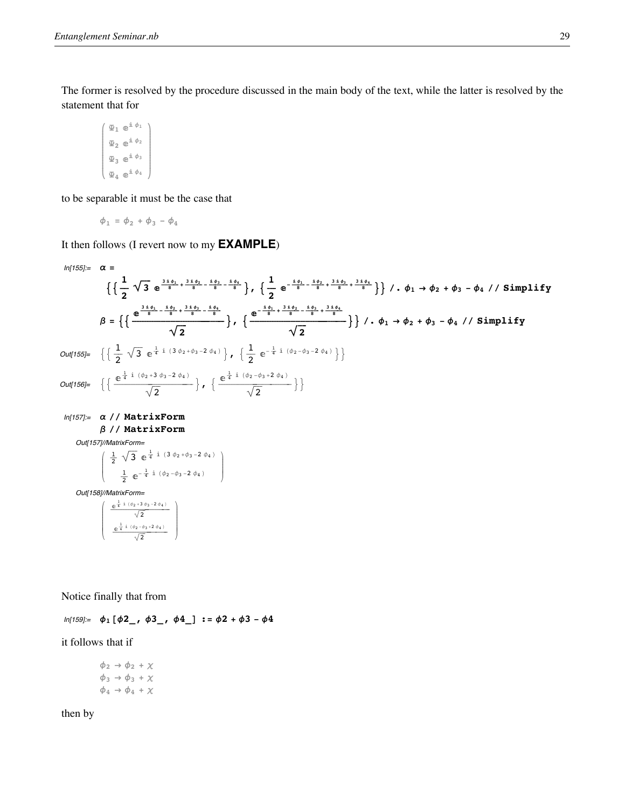The former is resolved by the procedure discussed in the main body of the text, while the latter is resolved by the statement that for

$$
\left(\begin{array}{c}\begin{matrix}\Phi_1 & \mathbb{e}^{\frac{i}{n}\,\phi_1} \\[1mm] \Phi_2 & \mathbb{e}^{\frac{i}{n}\,\phi_2} \\[1mm] \Phi_3 & \mathbb{e}^{\frac{i}{n}\,\phi_3} \\[1mm] \Phi_4 & \mathbb{e}^{\frac{i}{n}\,\phi_4}\end{matrix}\right)
$$

to be separable it must be the case that

$$
\phi_1 = \phi_2 + \phi_3 - \phi_4
$$

It then follows (I revert now to my **EXAMPLE**)

$$
ln[155]= \alpha = \left\{ \left\{ \frac{1}{2} \sqrt{3} e^{\frac{3 \pm \phi_1}{8} + \frac{3 \pm \phi_2}{8} - \frac{1 \pm \phi_1}{8}} \right\}, \left\{ \frac{1}{2} e^{-\frac{1 \pm \phi_1}{8} + \frac{3 \pm \phi_1}{8} + \frac{3 \pm \phi_1}{8}} \right\} \right\} / \phi_1 \rightarrow \phi_2 + \phi_3 - \phi_4 / \sinh \psi
$$
\n
$$
\beta = \left\{ \left( \frac{e^{\frac{3 \pm \phi_1}{8} - \frac{1 \pm \phi_1}{8} + \frac{3 \pm \phi_1}{8} - \frac{1 \pm \phi_1}{8}}}{\sqrt{2}} \right\}, \left\{ \frac{e^{-\frac{1 \pm \phi_1}{8} + \frac{3 \pm \phi_1}{8} - \frac{1 \pm \phi_1}{8}}}{\sqrt{2}} \right\} \right\} / \phi_1 \rightarrow \phi_2 + \phi_3 - \phi_4 / \sinh \psi
$$
\n
$$
Out[155]= \left\{ \left\{ \frac{1}{2} \sqrt{3} e^{\frac{1}{4} \pm (3 \phi_2 + \phi_3 - 2 \phi_4)} \right\}, \left\{ \frac{1}{2} e^{-\frac{1}{4} \pm ((\phi_2 - \phi_3 - 2 \phi_4)} \right\} \right\}
$$
\n
$$
Out[156]= \left\{ \left\{ \frac{e^{\frac{1}{4} \pm (\phi_2 + 3 \phi_3 - 2 \phi_4)}}{\sqrt{2}} \right\}, \left\{ \frac{e^{\frac{1}{4} \pm (\phi_2 - \phi_3 + 2 \phi_4)}}{\sqrt{2}} \right\} \right\}
$$
\n
$$
Out[157]/\text{MatrixForm}
$$
\n
$$
Out[157]/\text{MatrixForm}
$$
\n
$$
Out[158]/\text{MatrixForm}
$$
\n
$$
Out[158]/\text{MatrixForm}
$$
\n
$$
\left( \frac{e^{\frac{1}{4} \pm (92 - \phi_3 - 2 \phi_4)}}{\frac{1}{2} e^{-\frac{1}{4} \pm (92 - \phi_3 - 2 \phi_4)}} \right)
$$
\n
$$
Out[158]/\text{MatrixForm}
$$

Notice finally that from

 $ln[159] =$   $\phi_1 [\phi_2, \phi_3],$   $\phi_4$   $\phi_5$  **:**  $\phi_6$  **:**  $\phi_7$  **+**  $\phi_7$  **:**  $\phi_8$  **+**  $\phi_7$  **+**  $\phi_8$  **+**  $\phi_7$ 

it follows that if

 $\phi_2 \rightarrow \phi_2 + \chi$  $\phi_3 \rightarrow \phi_3 + \chi$  $\phi_4 \rightarrow \phi_4 + \chi$ 

then by